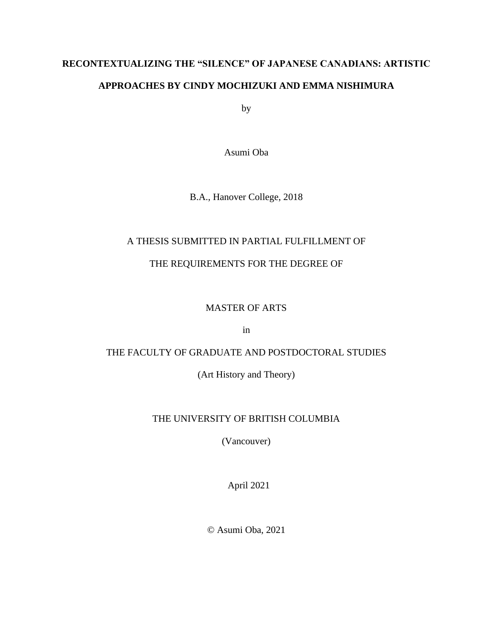# **RECONTEXTUALIZING THE "SILENCE" OF JAPANESE CANADIANS: ARTISTIC APPROACHES BY CINDY MOCHIZUKI AND EMMA NISHIMURA**

by

Asumi Oba

B.A., Hanover College, 2018

## A THESIS SUBMITTED IN PARTIAL FULFILLMENT OF

## THE REQUIREMENTS FOR THE DEGREE OF

### MASTER OF ARTS

in

### THE FACULTY OF GRADUATE AND POSTDOCTORAL STUDIES

(Art History and Theory)

### THE UNIVERSITY OF BRITISH COLUMBIA

(Vancouver)

April 2021

© Asumi Oba, 2021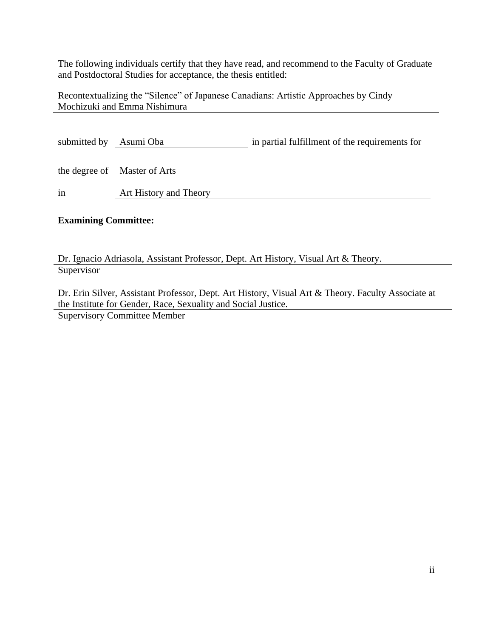The following individuals certify that they have read, and recommend to the Faculty of Graduate and Postdoctoral Studies for acceptance, the thesis entitled:

Recontextualizing the "Silence" of Japanese Canadians: Artistic Approaches by Cindy Mochizuki and Emma Nishimura

| submitted by | Asumi Oba                    | in partial fulfillment of the requirements for |
|--------------|------------------------------|------------------------------------------------|
|              | the degree of Master of Arts |                                                |
| in           | Art History and Theory       |                                                |

### **Examining Committee:**

Dr. Ignacio Adriasola, Assistant Professor, Dept. Art History, Visual Art & Theory. **Supervisor** 

Dr. Erin Silver, Assistant Professor, Dept. Art History, Visual Art & Theory. Faculty Associate at the Institute for Gender, Race, Sexuality and Social Justice.

Supervisory Committee Member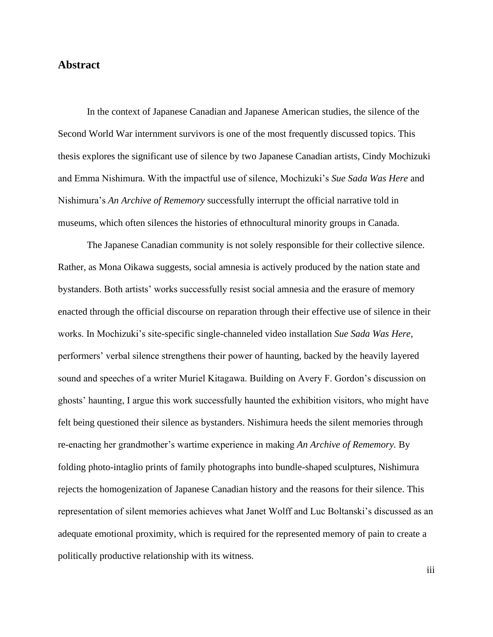#### **Abstract**

In the context of Japanese Canadian and Japanese American studies, the silence of the Second World War internment survivors is one of the most frequently discussed topics. This thesis explores the significant use of silence by two Japanese Canadian artists, Cindy Mochizuki and Emma Nishimura. With the impactful use of silence, Mochizuki's *Sue Sada Was Here* and Nishimura's *An Archive of Rememory* successfully interrupt the official narrative told in museums, which often silences the histories of ethnocultural minority groups in Canada.

The Japanese Canadian community is not solely responsible for their collective silence. Rather, as Mona Oikawa suggests, social amnesia is actively produced by the nation state and bystanders. Both artists' works successfully resist social amnesia and the erasure of memory enacted through the official discourse on reparation through their effective use of silence in their works. In Mochizuki's site-specific single-channeled video installation *Sue Sada Was Here*, performers' verbal silence strengthens their power of haunting, backed by the heavily layered sound and speeches of a writer Muriel Kitagawa. Building on Avery F. Gordon's discussion on ghosts' haunting, I argue this work successfully haunted the exhibition visitors, who might have felt being questioned their silence as bystanders. Nishimura heeds the silent memories through re-enacting her grandmother's wartime experience in making *An Archive of Rememory.* By folding photo-intaglio prints of family photographs into bundle-shaped sculptures, Nishimura rejects the homogenization of Japanese Canadian history and the reasons for their silence. This representation of silent memories achieves what Janet Wolff and Luc Boltanski's discussed as an adequate emotional proximity, which is required for the represented memory of pain to create a politically productive relationship with its witness.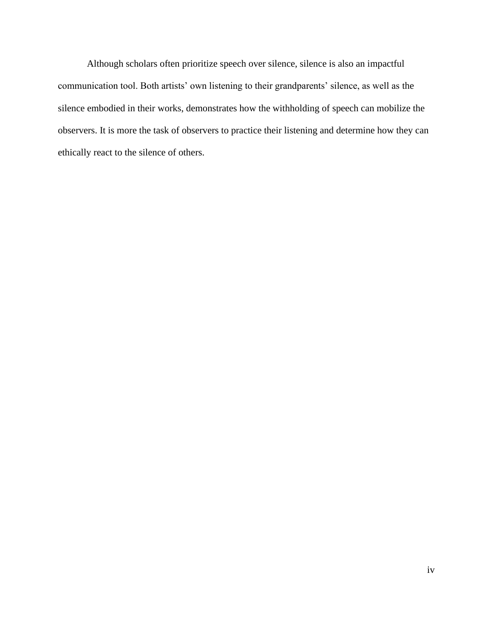Although scholars often prioritize speech over silence, silence is also an impactful communication tool. Both artists' own listening to their grandparents' silence, as well as the silence embodied in their works, demonstrates how the withholding of speech can mobilize the observers. It is more the task of observers to practice their listening and determine how they can ethically react to the silence of others.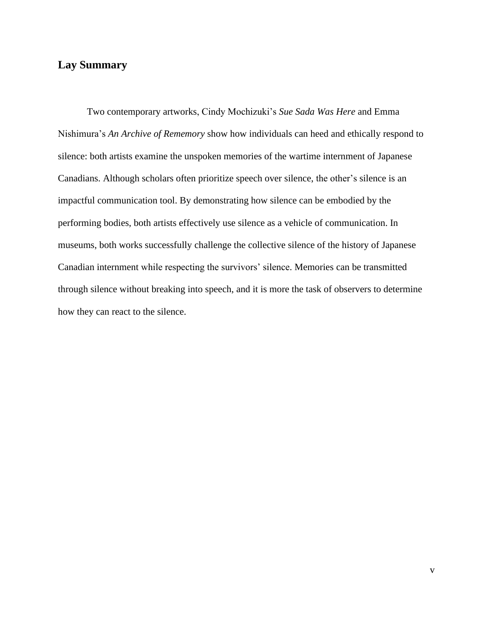## **Lay Summary**

Two contemporary artworks, Cindy Mochizuki's *Sue Sada Was Here* and Emma Nishimura's *An Archive of Rememory* show how individuals can heed and ethically respond to silence: both artists examine the unspoken memories of the wartime internment of Japanese Canadians. Although scholars often prioritize speech over silence, the other's silence is an impactful communication tool. By demonstrating how silence can be embodied by the performing bodies, both artists effectively use silence as a vehicle of communication. In museums, both works successfully challenge the collective silence of the history of Japanese Canadian internment while respecting the survivors' silence. Memories can be transmitted through silence without breaking into speech, and it is more the task of observers to determine how they can react to the silence.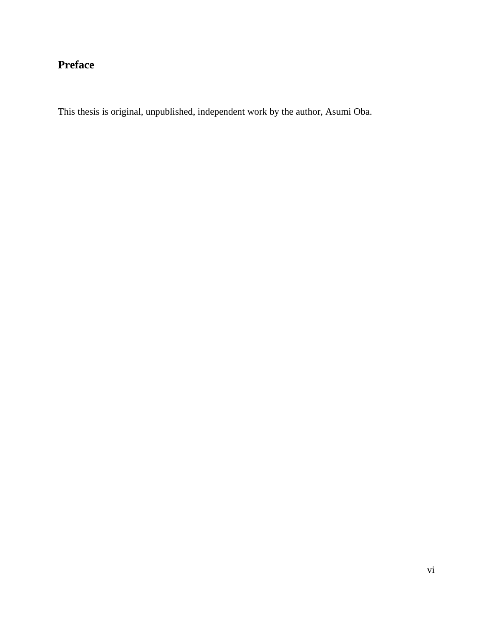## **Preface**

This thesis is original, unpublished, independent work by the author, Asumi Oba.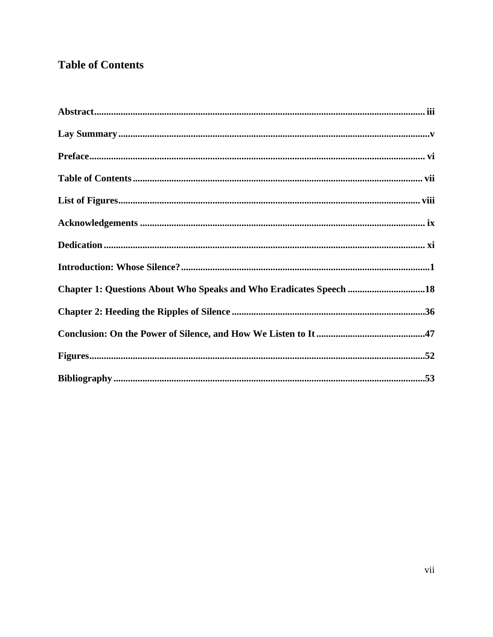## **Table of Contents**

| Chapter 1: Questions About Who Speaks and Who Eradicates Speech 18 |  |
|--------------------------------------------------------------------|--|
|                                                                    |  |
|                                                                    |  |
|                                                                    |  |
|                                                                    |  |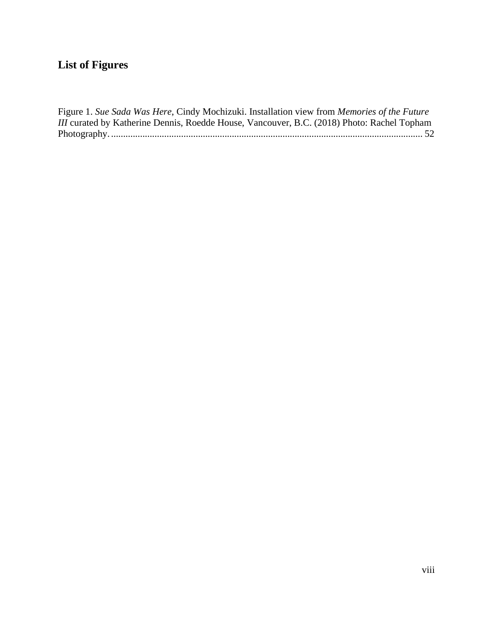## **List of Figures**

Figure 1. *Sue Sada Was Here*, Cindy Mochizuki. Installation view from *Memories of the Future III* curated by Katherine Dennis, Roedde House, Vancouver, B.C. (2018) Photo: Rachel Topham Photography. ................................................................................................................................. 52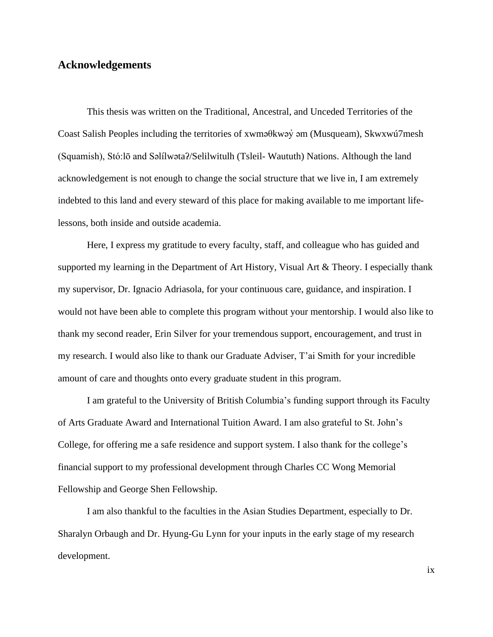#### **Acknowledgements**

This thesis was written on the Traditional, Ancestral, and Unceded Territories of the Coast Salish Peoples including the territories of xwməθkwəy̓ əm (Musqueam), Skwxwú7mesh (Squamish), Stó:lō and Səlílwətaʔ/Selilwitulh (Tsleil- Waututh) Nations. Although the land acknowledgement is not enough to change the social structure that we live in, I am extremely indebted to this land and every steward of this place for making available to me important lifelessons, both inside and outside academia.

Here, I express my gratitude to every faculty, staff, and colleague who has guided and supported my learning in the Department of Art History, Visual Art & Theory. I especially thank my supervisor, Dr. Ignacio Adriasola, for your continuous care, guidance, and inspiration. I would not have been able to complete this program without your mentorship. I would also like to thank my second reader, Erin Silver for your tremendous support, encouragement, and trust in my research. I would also like to thank our Graduate Adviser, T'ai Smith for your incredible amount of care and thoughts onto every graduate student in this program.

I am grateful to the University of British Columbia's funding support through its Faculty of Arts Graduate Award and International Tuition Award. I am also grateful to St. John's College, for offering me a safe residence and support system. I also thank for the college's financial support to my professional development through Charles CC Wong Memorial Fellowship and George Shen Fellowship.

I am also thankful to the faculties in the Asian Studies Department, especially to Dr. Sharalyn Orbaugh and Dr. Hyung-Gu Lynn for your inputs in the early stage of my research development.

ix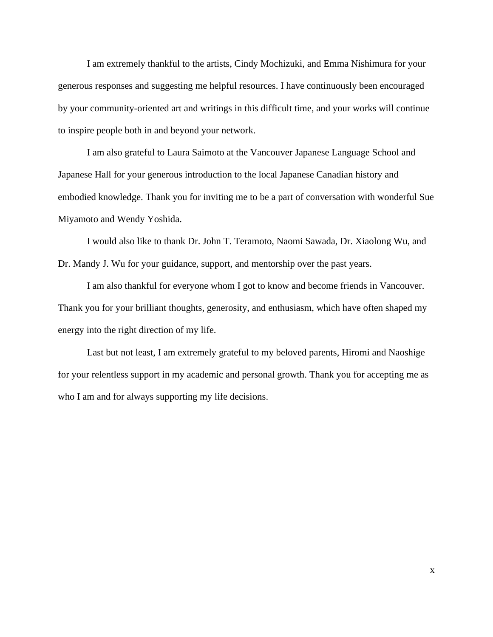I am extremely thankful to the artists, Cindy Mochizuki, and Emma Nishimura for your generous responses and suggesting me helpful resources. I have continuously been encouraged by your community-oriented art and writings in this difficult time, and your works will continue to inspire people both in and beyond your network.

I am also grateful to Laura Saimoto at the Vancouver Japanese Language School and Japanese Hall for your generous introduction to the local Japanese Canadian history and embodied knowledge. Thank you for inviting me to be a part of conversation with wonderful Sue Miyamoto and Wendy Yoshida.

I would also like to thank Dr. John T. Teramoto, Naomi Sawada, Dr. Xiaolong Wu, and Dr. Mandy J. Wu for your guidance, support, and mentorship over the past years.

I am also thankful for everyone whom I got to know and become friends in Vancouver. Thank you for your brilliant thoughts, generosity, and enthusiasm, which have often shaped my energy into the right direction of my life.

Last but not least, I am extremely grateful to my beloved parents, Hiromi and Naoshige for your relentless support in my academic and personal growth. Thank you for accepting me as who I am and for always supporting my life decisions.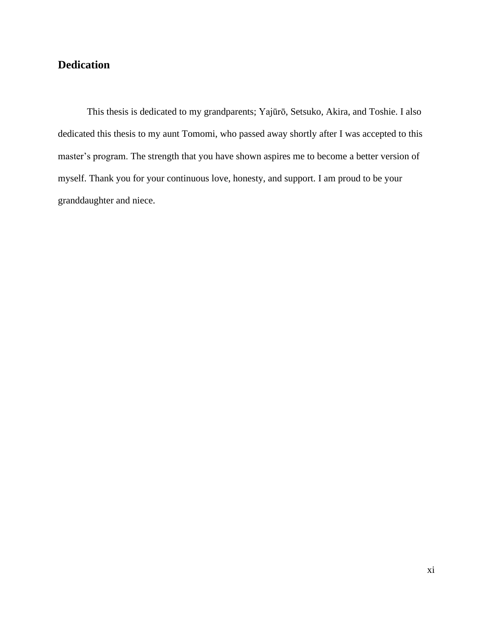## **Dedication**

This thesis is dedicated to my grandparents; Yajūrō, Setsuko, Akira, and Toshie. I also dedicated this thesis to my aunt Tomomi, who passed away shortly after I was accepted to this master's program. The strength that you have shown aspires me to become a better version of myself. Thank you for your continuous love, honesty, and support. I am proud to be your granddaughter and niece.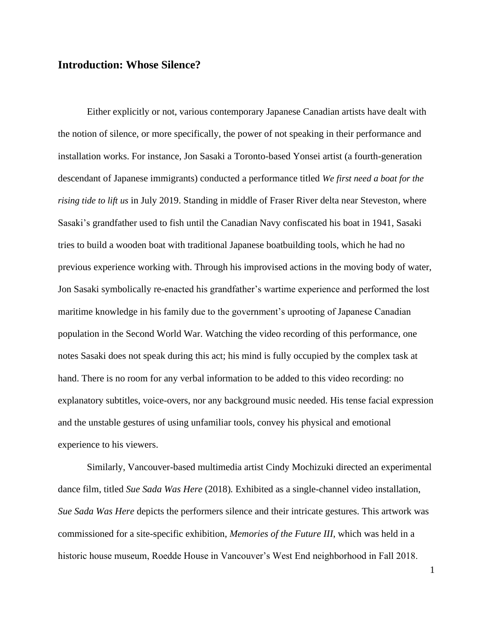### **Introduction: Whose Silence?**

Either explicitly or not, various contemporary Japanese Canadian artists have dealt with the notion of silence, or more specifically, the power of not speaking in their performance and installation works. For instance, Jon Sasaki a Toronto-based Yonsei artist (a fourth-generation descendant of Japanese immigrants) conducted a performance titled *We first need a boat for the rising tide to lift us* in July 2019. Standing in middle of Fraser River delta near Steveston, where Sasaki's grandfather used to fish until the Canadian Navy confiscated his boat in 1941, Sasaki tries to build a wooden boat with traditional Japanese boatbuilding tools, which he had no previous experience working with. Through his improvised actions in the moving body of water, Jon Sasaki symbolically re-enacted his grandfather's wartime experience and performed the lost maritime knowledge in his family due to the government's uprooting of Japanese Canadian population in the Second World War. Watching the video recording of this performance, one notes Sasaki does not speak during this act; his mind is fully occupied by the complex task at hand. There is no room for any verbal information to be added to this video recording: no explanatory subtitles, voice-overs, nor any background music needed. His tense facial expression and the unstable gestures of using unfamiliar tools, convey his physical and emotional experience to his viewers.

Similarly, Vancouver-based multimedia artist Cindy Mochizuki directed an experimental dance film, titled *Sue Sada Was Here* (2018)*.* Exhibited as a single-channel video installation, *Sue Sada Was Here* depicts the performers silence and their intricate gestures. This artwork was commissioned for a site-specific exhibition, *Memories of the Future III*, which was held in a historic house museum, Roedde House in Vancouver's West End neighborhood in Fall 2018.

1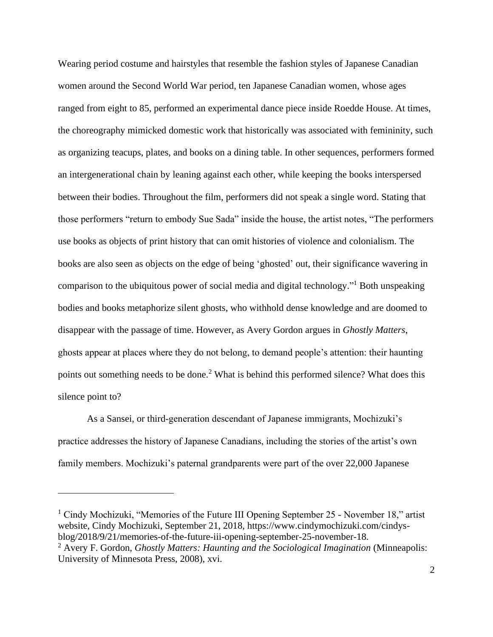Wearing period costume and hairstyles that resemble the fashion styles of Japanese Canadian women around the Second World War period, ten Japanese Canadian women, whose ages ranged from eight to 85, performed an experimental dance piece inside Roedde House. At times, the choreography mimicked domestic work that historically was associated with femininity, such as organizing teacups, plates, and books on a dining table. In other sequences, performers formed an intergenerational chain by leaning against each other, while keeping the books interspersed between their bodies. Throughout the film, performers did not speak a single word. Stating that those performers "return to embody Sue Sada" inside the house, the artist notes, "The performers use books as objects of print history that can omit histories of violence and colonialism. The books are also seen as objects on the edge of being 'ghosted' out, their significance wavering in comparison to the ubiquitous power of social media and digital technology." <sup>1</sup> Both unspeaking bodies and books metaphorize silent ghosts, who withhold dense knowledge and are doomed to disappear with the passage of time. However, as Avery Gordon argues in *Ghostly Matters*, ghosts appear at places where they do not belong, to demand people's attention: their haunting points out something needs to be done.<sup>2</sup> What is behind this performed silence? What does this silence point to?

As a Sansei, or third-generation descendant of Japanese immigrants, Mochizuki's practice addresses the history of Japanese Canadians, including the stories of the artist's own family members. Mochizuki's paternal grandparents were part of the over 22,000 Japanese

<sup>&</sup>lt;sup>1</sup> Cindy Mochizuki, "Memories of the Future III Opening September 25 - November 18," artist website, Cindy Mochizuki, September 21, 2018, https://www.cindymochizuki.com/cindysblog/2018/9/21/memories-of-the-future-iii-opening-september-25-november-18.

<sup>2</sup> Avery F. Gordon, *Ghostly Matters: Haunting and the Sociological Imagination* (Minneapolis: University of Minnesota Press, 2008), xvi.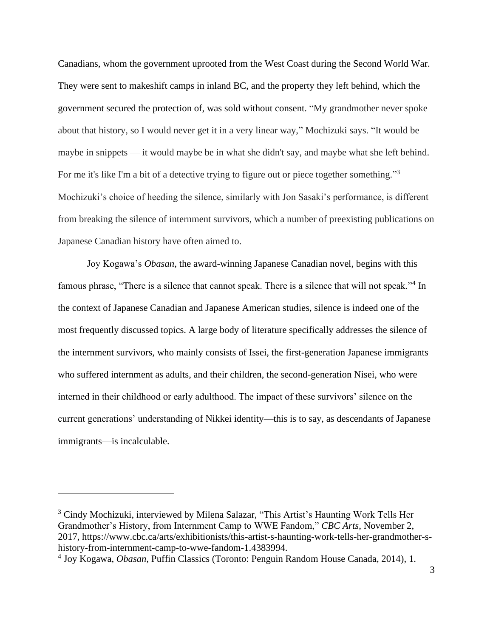Canadians, whom the government uprooted from the West Coast during the Second World War. They were sent to makeshift camps in inland BC, and the property they left behind, which the government secured the protection of, was sold without consent. "My grandmother never spoke about that history, so I would never get it in a very linear way," Mochizuki says. "It would be maybe in snippets — it would maybe be in what she didn't say, and maybe what she left behind. For me it's like I'm a bit of a detective trying to figure out or piece together something."<sup>3</sup> Mochizuki's choice of heeding the silence, similarly with Jon Sasaki's performance, is different from breaking the silence of internment survivors, which a number of preexisting publications on Japanese Canadian history have often aimed to.

Joy Kogawa's *Obasan*, the award-winning Japanese Canadian novel, begins with this famous phrase, "There is a silence that cannot speak. There is a silence that will not speak."<sup>4</sup> In the context of Japanese Canadian and Japanese American studies, silence is indeed one of the most frequently discussed topics. A large body of literature specifically addresses the silence of the internment survivors, who mainly consists of Issei, the first-generation Japanese immigrants who suffered internment as adults, and their children, the second-generation Nisei, who were interned in their childhood or early adulthood. The impact of these survivors' silence on the current generations' understanding of Nikkei identity—this is to say, as descendants of Japanese immigrants—is incalculable.

<sup>3</sup> Cindy Mochizuki, interviewed by Milena Salazar, "This Artist's Haunting Work Tells Her Grandmother's History, from Internment Camp to WWE Fandom," *CBC Arts*, November 2, 2017, https://www.cbc.ca/arts/exhibitionists/this-artist-s-haunting-work-tells-her-grandmother-shistory-from-internment-camp-to-wwe-fandom-1.4383994.

<sup>4</sup> Joy Kogawa, *Obasan*, Puffin Classics (Toronto: Penguin Random House Canada, 2014), 1.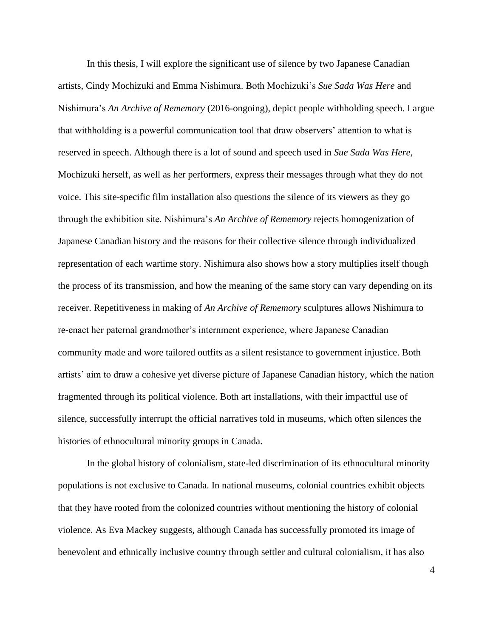In this thesis, I will explore the significant use of silence by two Japanese Canadian artists, Cindy Mochizuki and Emma Nishimura. Both Mochizuki's *Sue Sada Was Here* and Nishimura's *An Archive of Rememory* (2016-ongoing), depict people withholding speech. I argue that withholding is a powerful communication tool that draw observers' attention to what is reserved in speech. Although there is a lot of sound and speech used in *Sue Sada Was Here*, Mochizuki herself, as well as her performers, express their messages through what they do not voice. This site-specific film installation also questions the silence of its viewers as they go through the exhibition site. Nishimura's *An Archive of Rememory* rejects homogenization of Japanese Canadian history and the reasons for their collective silence through individualized representation of each wartime story. Nishimura also shows how a story multiplies itself though the process of its transmission, and how the meaning of the same story can vary depending on its receiver. Repetitiveness in making of *An Archive of Rememory* sculptures allows Nishimura to re-enact her paternal grandmother's internment experience, where Japanese Canadian community made and wore tailored outfits as a silent resistance to government injustice. Both artists' aim to draw a cohesive yet diverse picture of Japanese Canadian history, which the nation fragmented through its political violence. Both art installations, with their impactful use of silence, successfully interrupt the official narratives told in museums, which often silences the histories of ethnocultural minority groups in Canada.

In the global history of colonialism, state-led discrimination of its ethnocultural minority populations is not exclusive to Canada. In national museums, colonial countries exhibit objects that they have rooted from the colonized countries without mentioning the history of colonial violence. As Eva Mackey suggests, although Canada has successfully promoted its image of benevolent and ethnically inclusive country through settler and cultural colonialism, it has also

4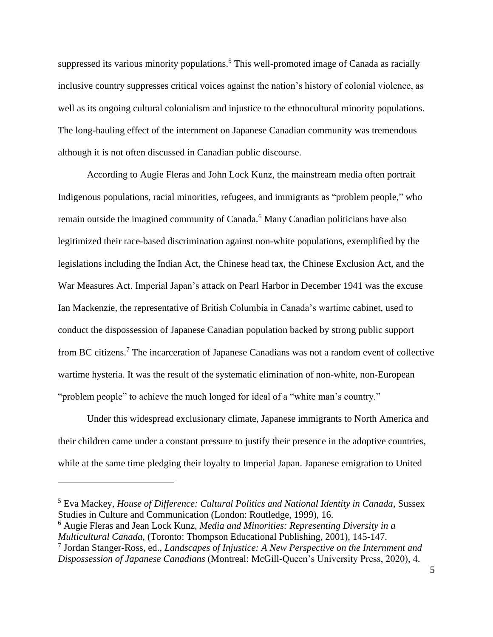suppressed its various minority populations.<sup>5</sup> This well-promoted image of Canada as racially inclusive country suppresses critical voices against the nation's history of colonial violence, as well as its ongoing cultural colonialism and injustice to the ethnocultural minority populations. The long-hauling effect of the internment on Japanese Canadian community was tremendous although it is not often discussed in Canadian public discourse.

According to Augie Fleras and John Lock Kunz, the mainstream media often portrait Indigenous populations, racial minorities, refugees, and immigrants as "problem people," who remain outside the imagined community of Canada.<sup>6</sup> Many Canadian politicians have also legitimized their race-based discrimination against non-white populations, exemplified by the legislations including the Indian Act, the Chinese head tax, the Chinese Exclusion Act, and the War Measures Act. Imperial Japan's attack on Pearl Harbor in December 1941 was the excuse Ian Mackenzie, the representative of British Columbia in Canada's wartime cabinet, used to conduct the dispossession of Japanese Canadian population backed by strong public support from BC citizens.<sup>7</sup> The incarceration of Japanese Canadians was not a random event of collective wartime hysteria. It was the result of the systematic elimination of non-white, non-European "problem people" to achieve the much longed for ideal of a "white man's country."

Under this widespread exclusionary climate, Japanese immigrants to North America and their children came under a constant pressure to justify their presence in the adoptive countries, while at the same time pledging their loyalty to Imperial Japan. Japanese emigration to United

<sup>5</sup> Eva Mackey, *House of Difference: Cultural Politics and National Identity in Canada*, Sussex Studies in Culture and Communication (London: Routledge, 1999), 16.

<sup>6</sup> Augie Fleras and Jean Lock Kunz, *Media and Minorities: Representing Diversity in a Multicultural Canada*, (Toronto: Thompson Educational Publishing, 2001), 145-147.

<sup>7</sup> Jordan Stanger-Ross, ed., *Landscapes of Injustice: A New Perspective on the Internment and Dispossession of Japanese Canadians* (Montreal: McGill-Queen's University Press, 2020), 4.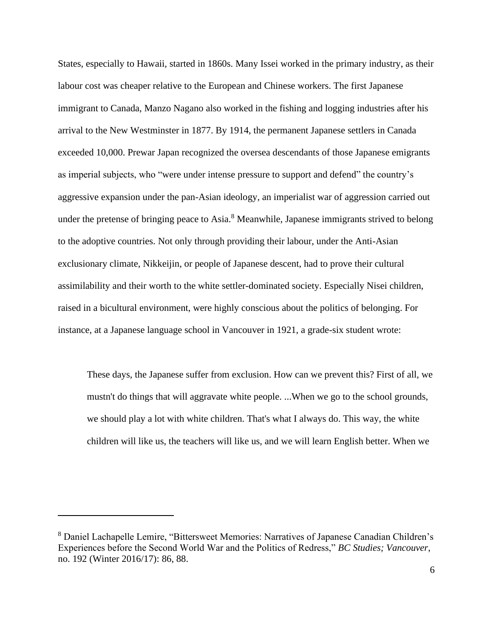States, especially to Hawaii, started in 1860s. Many Issei worked in the primary industry, as their labour cost was cheaper relative to the European and Chinese workers. The first Japanese immigrant to Canada, Manzo Nagano also worked in the fishing and logging industries after his arrival to the New Westminster in 1877. By 1914, the permanent Japanese settlers in Canada exceeded 10,000. Prewar Japan recognized the oversea descendants of those Japanese emigrants as imperial subjects, who "were under intense pressure to support and defend" the country's aggressive expansion under the pan-Asian ideology, an imperialist war of aggression carried out under the pretense of bringing peace to Asia.<sup>8</sup> Meanwhile, Japanese immigrants strived to belong to the adoptive countries. Not only through providing their labour, under the Anti-Asian exclusionary climate, Nikkeijin, or people of Japanese descent, had to prove their cultural assimilability and their worth to the white settler-dominated society. Especially Nisei children, raised in a bicultural environment, were highly conscious about the politics of belonging. For instance, at a Japanese language school in Vancouver in 1921, a grade-six student wrote:

These days, the Japanese suffer from exclusion. How can we prevent this? First of all, we mustn't do things that will aggravate white people. ...When we go to the school grounds, we should play a lot with white children. That's what I always do. This way, the white children will like us, the teachers will like us, and we will learn English better. When we

<sup>8</sup> Daniel Lachapelle Lemire, "Bittersweet Memories: Narratives of Japanese Canadian Children's Experiences before the Second World War and the Politics of Redress," *BC Studies; Vancouver*, no. 192 (Winter 2016/17): 86, 88.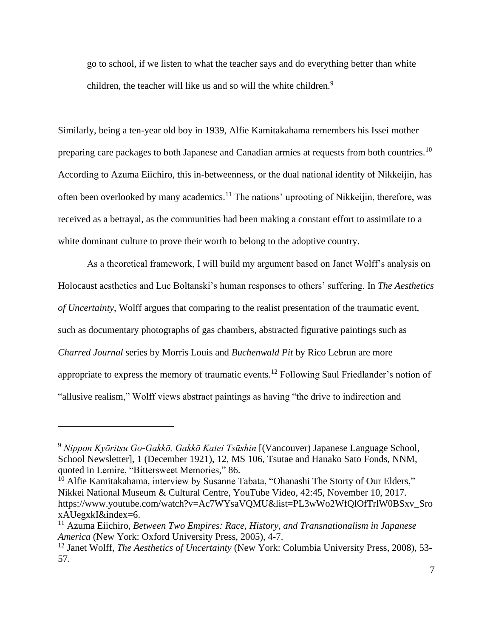go to school, if we listen to what the teacher says and do everything better than white children, the teacher will like us and so will the white children.<sup>9</sup>

Similarly, being a ten-year old boy in 1939, Alfie Kamitakahama remembers his Issei mother preparing care packages to both Japanese and Canadian armies at requests from both countries.<sup>10</sup> According to Azuma Eiichiro, this in-betweenness, or the dual national identity of Nikkeijin, has often been overlooked by many academics.<sup>11</sup> The nations' uprooting of Nikkeijin, therefore, was received as a betrayal, as the communities had been making a constant effort to assimilate to a white dominant culture to prove their worth to belong to the adoptive country.

As a theoretical framework, I will build my argument based on Janet Wolff's analysis on Holocaust aesthetics and Luc Boltanski's human responses to others' suffering. In *The Aesthetics of Uncertainty*, Wolff argues that comparing to the realist presentation of the traumatic event, such as documentary photographs of gas chambers, abstracted figurative paintings such as *Charred Journal* series by Morris Louis and *Buchenwald Pit* by Rico Lebrun are more appropriate to express the memory of traumatic events.<sup>12</sup> Following Saul Friedlander's notion of "allusive realism," Wolff views abstract paintings as having "the drive to indirection and

<sup>9</sup> *Nippon Kyōritsu Go-Gakkō, Gakkō Katei Tsūshin* [(Vancouver) Japanese Language School, School Newsletter], 1 (December 1921), 12, MS 106, Tsutae and Hanako Sato Fonds, NNM, quoted in Lemire, "Bittersweet Memories," 86.

<sup>&</sup>lt;sup>10</sup> Alfie Kamitakahama, interview by Susanne Tabata, "Ohanashi The Storty of Our Elders," Nikkei National Museum & Cultural Centre*,* YouTube Video, 42:45, November 10, 2017. https://www.youtube.com/watch?v=Ac7WYsaVQMU&list=PL3wWo2WfQlOfTrlW0BSxv\_Sro xAUegxkI&index=6.

<sup>11</sup> Azuma Eiichiro, *Between Two Empires: Race, History, and Transnationalism in Japanese America* (New York: Oxford University Press, 2005), 4-7.

<sup>12</sup> Janet Wolff, *The Aesthetics of Uncertainty* (New York: Columbia University Press, 2008), 53- 57.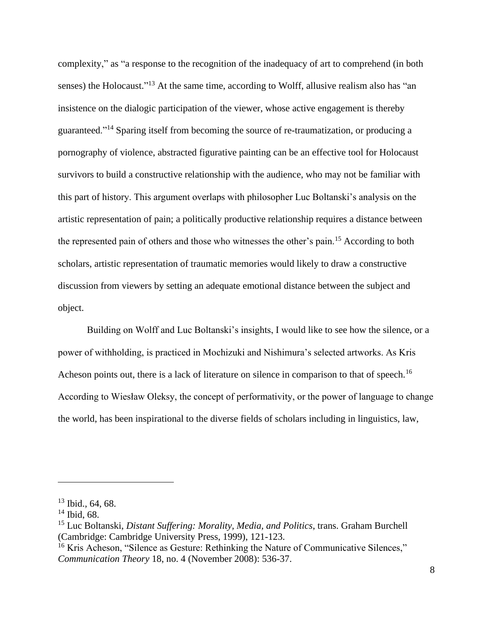complexity," as "a response to the recognition of the inadequacy of art to comprehend (in both senses) the Holocaust."<sup>13</sup> At the same time, according to Wolff, allusive realism also has "an insistence on the dialogic participation of the viewer, whose active engagement is thereby guaranteed."<sup>14</sup> Sparing itself from becoming the source of re-traumatization, or producing a pornography of violence, abstracted figurative painting can be an effective tool for Holocaust survivors to build a constructive relationship with the audience, who may not be familiar with this part of history. This argument overlaps with philosopher Luc Boltanski's analysis on the artistic representation of pain; a politically productive relationship requires a distance between the represented pain of others and those who witnesses the other's pain.<sup>15</sup> According to both scholars, artistic representation of traumatic memories would likely to draw a constructive discussion from viewers by setting an adequate emotional distance between the subject and object.

Building on Wolff and Luc Boltanski's insights, I would like to see how the silence, or a power of withholding, is practiced in Mochizuki and Nishimura's selected artworks. As Kris Acheson points out, there is a lack of literature on silence in comparison to that of speech.<sup>16</sup> According to Wiesław Oleksy, the concept of performativity, or the power of language to change the world, has been inspirational to the diverse fields of scholars including in linguistics, law,

 $13$  Ibid., 64, 68.

 $14$  Ibid, 68.

<sup>15</sup> Luc Boltanski, *Distant Suffering: Morality, Media, and Politics*, trans. Graham Burchell (Cambridge: Cambridge University Press, 1999), 121-123.

<sup>&</sup>lt;sup>16</sup> Kris Acheson, "Silence as Gesture: Rethinking the Nature of Communicative Silences," *Communication Theory* 18, no. 4 (November 2008): 536-37.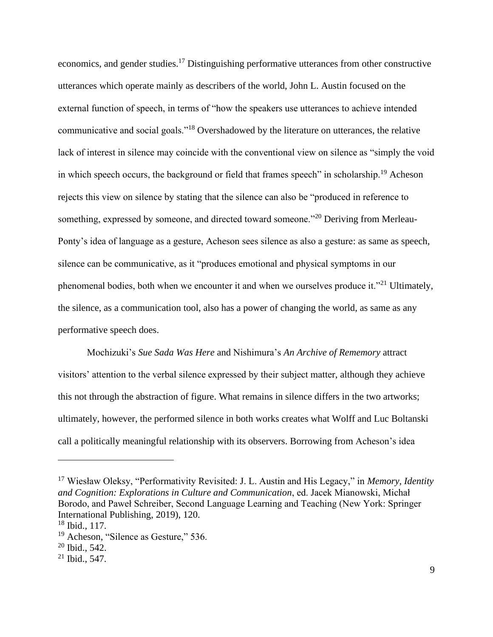economics, and gender studies.<sup>17</sup> Distinguishing performative utterances from other constructive utterances which operate mainly as describers of the world, John L. Austin focused on the external function of speech, in terms of "how the speakers use utterances to achieve intended communicative and social goals."<sup>18</sup> Overshadowed by the literature on utterances, the relative lack of interest in silence may coincide with the conventional view on silence as "simply the void in which speech occurs, the background or field that frames speech" in scholarship.<sup>19</sup> Acheson rejects this view on silence by stating that the silence can also be "produced in reference to something, expressed by someone, and directed toward someone."<sup>20</sup> Deriving from Merleau-Ponty's idea of language as a gesture, Acheson sees silence as also a gesture: as same as speech, silence can be communicative, as it "produces emotional and physical symptoms in our phenomenal bodies, both when we encounter it and when we ourselves produce it."<sup>21</sup> Ultimately, the silence, as a communication tool, also has a power of changing the world, as same as any performative speech does.

Mochizuki's *Sue Sada Was Here* and Nishimura's *An Archive of Rememory* attract visitors' attention to the verbal silence expressed by their subject matter, although they achieve this not through the abstraction of figure. What remains in silence differs in the two artworks; ultimately, however, the performed silence in both works creates what Wolff and Luc Boltanski call a politically meaningful relationship with its observers. Borrowing from Acheson's idea

<sup>17</sup> Wiesław Oleksy, "Performativity Revisited: J. L. Austin and His Legacy," in *Memory, Identity and Cognition: Explorations in Culture and Communication*, ed. Jacek Mianowski, Michał Borodo, and Paweł Schreiber, Second Language Learning and Teaching (New York: Springer International Publishing, 2019), 120.

 $18$  Ibid., 117.

<sup>&</sup>lt;sup>19</sup> Acheson, "Silence as Gesture," 536.

 $20$  Ibid., 542.

<sup>21</sup> Ibid., 547.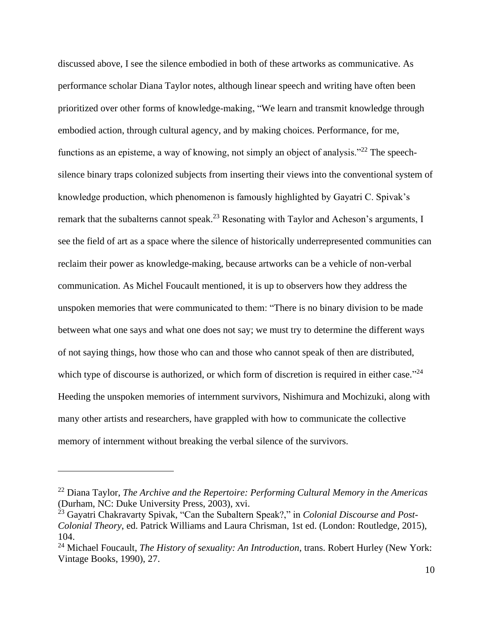discussed above, I see the silence embodied in both of these artworks as communicative. As performance scholar Diana Taylor notes, although linear speech and writing have often been prioritized over other forms of knowledge-making, "We learn and transmit knowledge through embodied action, through cultural agency, and by making choices. Performance, for me, functions as an episteme, a way of knowing, not simply an object of analysis."<sup>22</sup> The speechsilence binary traps colonized subjects from inserting their views into the conventional system of knowledge production, which phenomenon is famously highlighted by Gayatri C. Spivak's remark that the subalterns cannot speak.<sup>23</sup> Resonating with Taylor and Acheson's arguments, I see the field of art as a space where the silence of historically underrepresented communities can reclaim their power as knowledge-making, because artworks can be a vehicle of non-verbal communication. As Michel Foucault mentioned, it is up to observers how they address the unspoken memories that were communicated to them: "There is no binary division to be made between what one says and what one does not say; we must try to determine the different ways of not saying things, how those who can and those who cannot speak of then are distributed, which type of discourse is authorized, or which form of discretion is required in either case."<sup>24</sup> Heeding the unspoken memories of internment survivors, Nishimura and Mochizuki, along with many other artists and researchers, have grappled with how to communicate the collective memory of internment without breaking the verbal silence of the survivors.

<sup>22</sup> Diana Taylor, *The Archive and the Repertoire: Performing Cultural Memory in the Americas* (Durham, NC: Duke University Press, 2003), xvi.

<sup>23</sup> Gayatri Chakravarty Spivak, "Can the Subaltern Speak?," in *Colonial Discourse and Post-Colonial Theory*, ed. Patrick Williams and Laura Chrisman, 1st ed. (London: Routledge, 2015), 104.

<sup>24</sup> Michael Foucault, *The History of sexuality: An Introduction*, trans. Robert Hurley (New York: Vintage Books, 1990), 27.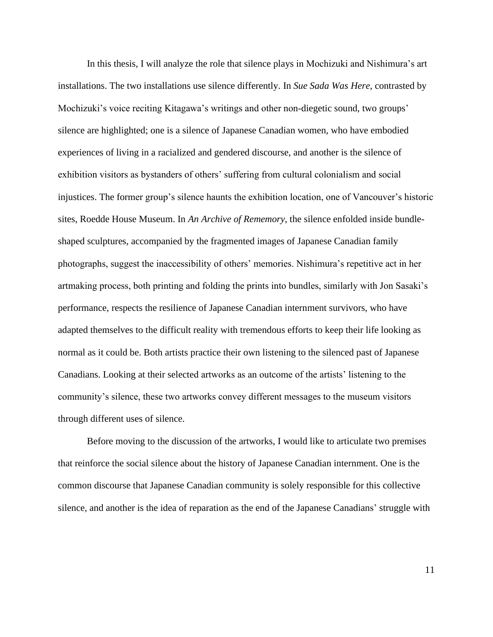In this thesis, I will analyze the role that silence plays in Mochizuki and Nishimura's art installations. The two installations use silence differently. In *Sue Sada Was Here*, contrasted by Mochizuki's voice reciting Kitagawa's writings and other non-diegetic sound, two groups' silence are highlighted; one is a silence of Japanese Canadian women, who have embodied experiences of living in a racialized and gendered discourse, and another is the silence of exhibition visitors as bystanders of others' suffering from cultural colonialism and social injustices. The former group's silence haunts the exhibition location, one of Vancouver's historic sites, Roedde House Museum. In *An Archive of Rememory*, the silence enfolded inside bundleshaped sculptures, accompanied by the fragmented images of Japanese Canadian family photographs, suggest the inaccessibility of others' memories. Nishimura's repetitive act in her artmaking process, both printing and folding the prints into bundles, similarly with Jon Sasaki's performance, respects the resilience of Japanese Canadian internment survivors, who have adapted themselves to the difficult reality with tremendous efforts to keep their life looking as normal as it could be. Both artists practice their own listening to the silenced past of Japanese Canadians. Looking at their selected artworks as an outcome of the artists' listening to the community's silence, these two artworks convey different messages to the museum visitors through different uses of silence.

Before moving to the discussion of the artworks, I would like to articulate two premises that reinforce the social silence about the history of Japanese Canadian internment. One is the common discourse that Japanese Canadian community is solely responsible for this collective silence, and another is the idea of reparation as the end of the Japanese Canadians' struggle with

11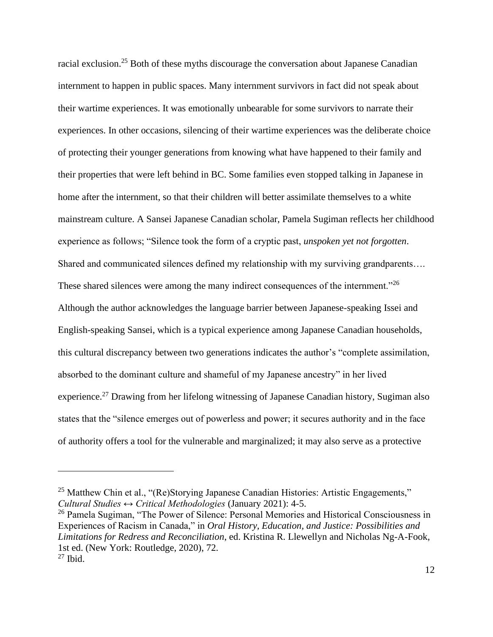racial exclusion.<sup>25</sup> Both of these myths discourage the conversation about Japanese Canadian internment to happen in public spaces. Many internment survivors in fact did not speak about their wartime experiences. It was emotionally unbearable for some survivors to narrate their experiences. In other occasions, silencing of their wartime experiences was the deliberate choice of protecting their younger generations from knowing what have happened to their family and their properties that were left behind in BC. Some families even stopped talking in Japanese in home after the internment, so that their children will better assimilate themselves to a white mainstream culture. A Sansei Japanese Canadian scholar, Pamela Sugiman reflects her childhood experience as follows; "Silence took the form of a cryptic past, *unspoken yet not forgotten*. Shared and communicated silences defined my relationship with my surviving grandparents…. These shared silences were among the many indirect consequences of the internment."<sup>26</sup> Although the author acknowledges the language barrier between Japanese-speaking Issei and English-speaking Sansei, which is a typical experience among Japanese Canadian households, this cultural discrepancy between two generations indicates the author's "complete assimilation, absorbed to the dominant culture and shameful of my Japanese ancestry" in her lived experience.<sup>27</sup> Drawing from her lifelong witnessing of Japanese Canadian history, Sugiman also states that the "silence emerges out of powerless and power; it secures authority and in the face of authority offers a tool for the vulnerable and marginalized; it may also serve as a protective

<sup>&</sup>lt;sup>25</sup> Matthew Chin et al., "(Re)Storying Japanese Canadian Histories: Artistic Engagements," *Cultural Studies ↔ Critical Methodologies* (January 2021): 4-5.

<sup>&</sup>lt;sup>26</sup> Pamela Sugiman, "The Power of Silence: Personal Memories and Historical Consciousness in Experiences of Racism in Canada," in *Oral History, Education, and Justice: Possibilities and Limitations for Redress and Reconciliation*, ed. Kristina R. Llewellyn and Nicholas Ng-A-Fook, 1st ed. (New York: Routledge, 2020), 72.  $27$  Ibid.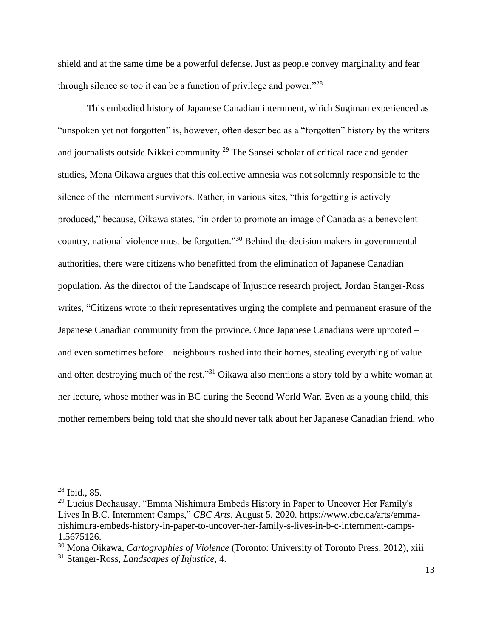shield and at the same time be a powerful defense. Just as people convey marginality and fear through silence so too it can be a function of privilege and power."<sup>28</sup>

This embodied history of Japanese Canadian internment, which Sugiman experienced as "unspoken yet not forgotten" is, however, often described as a "forgotten" history by the writers and journalists outside Nikkei community.<sup>29</sup> The Sansei scholar of critical race and gender studies, Mona Oikawa argues that this collective amnesia was not solemnly responsible to the silence of the internment survivors. Rather, in various sites, "this forgetting is actively produced," because, Oikawa states, "in order to promote an image of Canada as a benevolent country, national violence must be forgotten."<sup>30</sup> Behind the decision makers in governmental authorities, there were citizens who benefitted from the elimination of Japanese Canadian population. As the director of the Landscape of Injustice research project, Jordan Stanger-Ross writes, "Citizens wrote to their representatives urging the complete and permanent erasure of the Japanese Canadian community from the province. Once Japanese Canadians were uprooted – and even sometimes before – neighbours rushed into their homes, stealing everything of value and often destroying much of the rest."<sup>31</sup> Oikawa also mentions a story told by a white woman at her lecture, whose mother was in BC during the Second World War. Even as a young child, this mother remembers being told that she should never talk about her Japanese Canadian friend, who

 $28$  Ibid., 85.

<sup>&</sup>lt;sup>29</sup> Lucius Dechausay, "Emma Nishimura Embeds History in Paper to Uncover Her Family's Lives In B.C. Internment Camps," *CBC Arts*, August 5, 2020. https://www.cbc.ca/arts/emmanishimura-embeds-history-in-paper-to-uncover-her-family-s-lives-in-b-c-internment-camps-1.5675126.

<sup>30</sup> Mona Oikawa, *Cartographies of Violence* (Toronto: University of Toronto Press, 2012), xiii

<sup>31</sup> Stanger-Ross, *Landscapes of Injustice*, 4.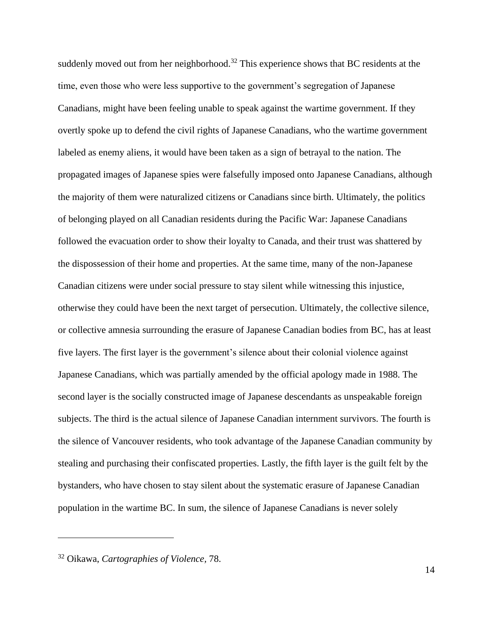suddenly moved out from her neighborhood.<sup>32</sup> This experience shows that BC residents at the time, even those who were less supportive to the government's segregation of Japanese Canadians, might have been feeling unable to speak against the wartime government. If they overtly spoke up to defend the civil rights of Japanese Canadians, who the wartime government labeled as enemy aliens, it would have been taken as a sign of betrayal to the nation. The propagated images of Japanese spies were falsefully imposed onto Japanese Canadians, although the majority of them were naturalized citizens or Canadians since birth. Ultimately, the politics of belonging played on all Canadian residents during the Pacific War: Japanese Canadians followed the evacuation order to show their loyalty to Canada, and their trust was shattered by the dispossession of their home and properties. At the same time, many of the non-Japanese Canadian citizens were under social pressure to stay silent while witnessing this injustice, otherwise they could have been the next target of persecution. Ultimately, the collective silence, or collective amnesia surrounding the erasure of Japanese Canadian bodies from BC, has at least five layers. The first layer is the government's silence about their colonial violence against Japanese Canadians, which was partially amended by the official apology made in 1988. The second layer is the socially constructed image of Japanese descendants as unspeakable foreign subjects. The third is the actual silence of Japanese Canadian internment survivors. The fourth is the silence of Vancouver residents, who took advantage of the Japanese Canadian community by stealing and purchasing their confiscated properties. Lastly, the fifth layer is the guilt felt by the bystanders, who have chosen to stay silent about the systematic erasure of Japanese Canadian population in the wartime BC. In sum, the silence of Japanese Canadians is never solely

<sup>32</sup> Oikawa, *Cartographies of Violence,* 78.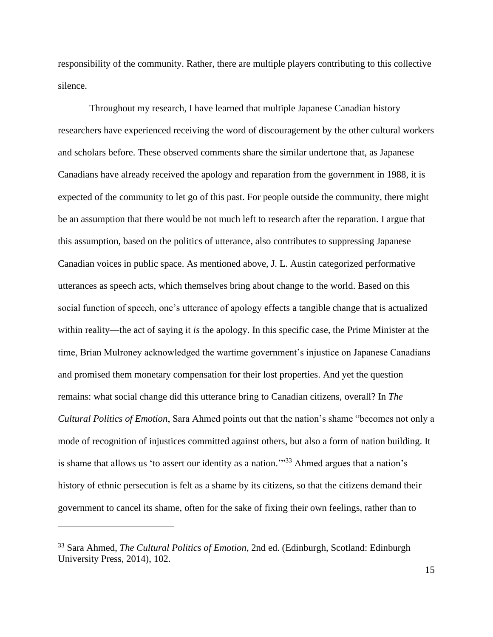responsibility of the community. Rather, there are multiple players contributing to this collective silence.

Throughout my research, I have learned that multiple Japanese Canadian history researchers have experienced receiving the word of discouragement by the other cultural workers and scholars before. These observed comments share the similar undertone that, as Japanese Canadians have already received the apology and reparation from the government in 1988, it is expected of the community to let go of this past. For people outside the community, there might be an assumption that there would be not much left to research after the reparation. I argue that this assumption, based on the politics of utterance, also contributes to suppressing Japanese Canadian voices in public space. As mentioned above, J. L. Austin categorized performative utterances as speech acts, which themselves bring about change to the world. Based on this social function of speech, one's utterance of apology effects a tangible change that is actualized within reality—the act of saying it *is* the apology. In this specific case, the Prime Minister at the time, Brian Mulroney acknowledged the wartime government's injustice on Japanese Canadians and promised them monetary compensation for their lost properties. And yet the question remains: what social change did this utterance bring to Canadian citizens, overall? In *The Cultural Politics of Emotion*, Sara Ahmed points out that the nation's shame "becomes not only a mode of recognition of injustices committed against others, but also a form of nation building. It is shame that allows us 'to assert our identity as a nation."<sup>33</sup> Ahmed argues that a nation's history of ethnic persecution is felt as a shame by its citizens, so that the citizens demand their government to cancel its shame, often for the sake of fixing their own feelings, rather than to

<sup>33</sup> Sara Ahmed, *The Cultural Politics of Emotion*, 2nd ed. (Edinburgh, Scotland: Edinburgh University Press, 2014), 102.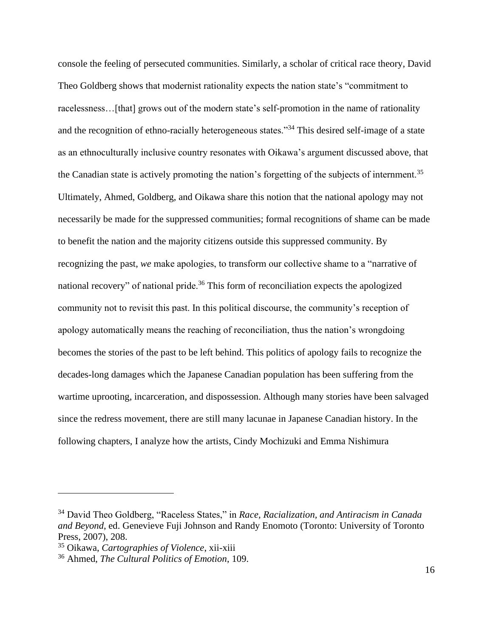console the feeling of persecuted communities. Similarly, a scholar of critical race theory, David Theo Goldberg shows that modernist rationality expects the nation state's "commitment to racelessness...[that] grows out of the modern state's self-promotion in the name of rationality and the recognition of ethno-racially heterogeneous states."<sup>34</sup> This desired self-image of a state as an ethnoculturally inclusive country resonates with Oikawa's argument discussed above, that the Canadian state is actively promoting the nation's forgetting of the subjects of internment.<sup>35</sup> Ultimately, Ahmed, Goldberg, and Oikawa share this notion that the national apology may not necessarily be made for the suppressed communities; formal recognitions of shame can be made to benefit the nation and the majority citizens outside this suppressed community. By recognizing the past, *we* make apologies, to transform our collective shame to a "narrative of national recovery" of national pride.<sup>36</sup> This form of reconciliation expects the apologized community not to revisit this past. In this political discourse, the community's reception of apology automatically means the reaching of reconciliation, thus the nation's wrongdoing becomes the stories of the past to be left behind. This politics of apology fails to recognize the decades-long damages which the Japanese Canadian population has been suffering from the wartime uprooting, incarceration, and dispossession. Although many stories have been salvaged since the redress movement, there are still many lacunae in Japanese Canadian history. In the following chapters, I analyze how the artists, Cindy Mochizuki and Emma Nishimura

<sup>34</sup> David Theo Goldberg, "Raceless States," in *Race, Racialization, and Antiracism in Canada and Beyond*, ed. Genevieve Fuji Johnson and Randy Enomoto (Toronto: University of Toronto Press, 2007), 208.

<sup>35</sup> Oikawa, *Cartographies of Violence*, xii-xiii

<sup>36</sup> Ahmed, *The Cultural Politics of Emotion*, 109.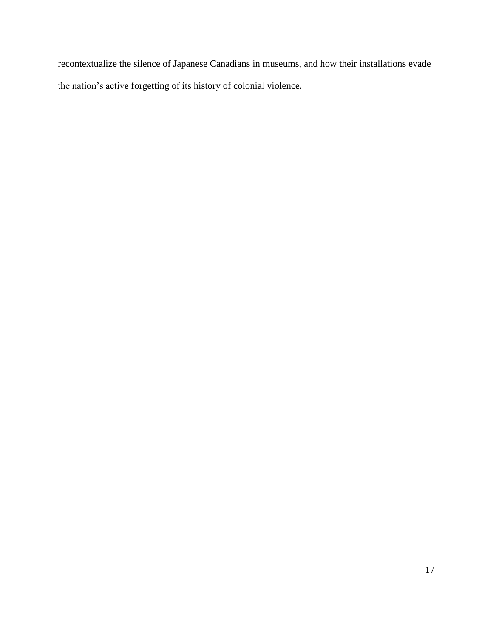recontextualize the silence of Japanese Canadians in museums, and how their installations evade the nation's active forgetting of its history of colonial violence.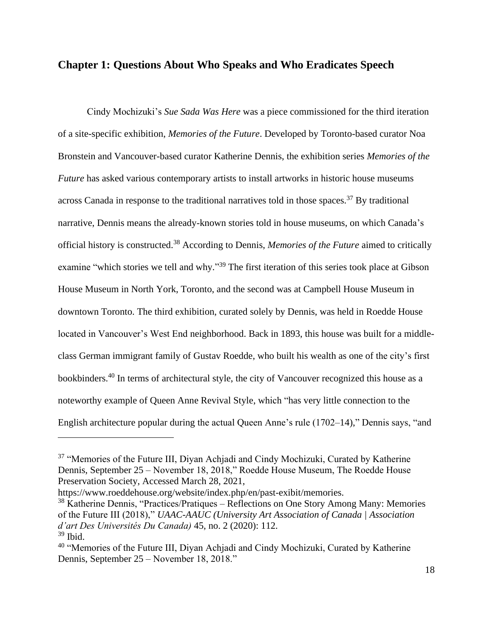#### **Chapter 1: Questions About Who Speaks and Who Eradicates Speech**

Cindy Mochizuki's *Sue Sada Was Here* was a piece commissioned for the third iteration of a site-specific exhibition, *Memories of the Future*. Developed by Toronto-based curator Noa Bronstein and Vancouver-based curator Katherine Dennis, the exhibition series *Memories of the Future* has asked various contemporary artists to install artworks in historic house museums across Canada in response to the traditional narratives told in those spaces.<sup>37</sup> By traditional narrative, Dennis means the already-known stories told in house museums, on which Canada's official history is constructed.<sup>38</sup> According to Dennis, *Memories of the Future* aimed to critically examine "which stories we tell and why."<sup>39</sup> The first iteration of this series took place at Gibson House Museum in North York, Toronto, and the second was at Campbell House Museum in downtown Toronto. The third exhibition, curated solely by Dennis, was held in Roedde House located in Vancouver's West End neighborhood. Back in 1893, this house was built for a middleclass German immigrant family of Gustav Roedde, who built his wealth as one of the city's first bookbinders.<sup>40</sup> In terms of architectural style, the city of Vancouver recognized this house as a noteworthy example of Queen Anne Revival Style, which "has very little connection to the English architecture popular during the actual Queen Anne's rule (1702–14)," Dennis says, "and

https://www.roeddehouse.org/website/index.php/en/past-exibit/memories.

<sup>&</sup>lt;sup>37</sup> "Memories of the Future III, Diyan Achjadi and Cindy Mochizuki, Curated by Katherine Dennis, September 25 – November 18, 2018," Roedde House Museum, The Roedde House Preservation Society, Accessed March 28, 2021,

<sup>38</sup> Katherine Dennis, "Practices/Pratiques – Reflections on One Story Among Many: Memories of the Future III (2018)," *UAAC-AAUC (University Art Association of Canada | Association d'art Des Universités Du Canada)* 45, no. 2 (2020): 112.  $39$  Ibid.

<sup>&</sup>lt;sup>40</sup> "Memories of the Future III, Diyan Achjadi and Cindy Mochizuki, Curated by Katherine Dennis, September 25 – November 18, 2018."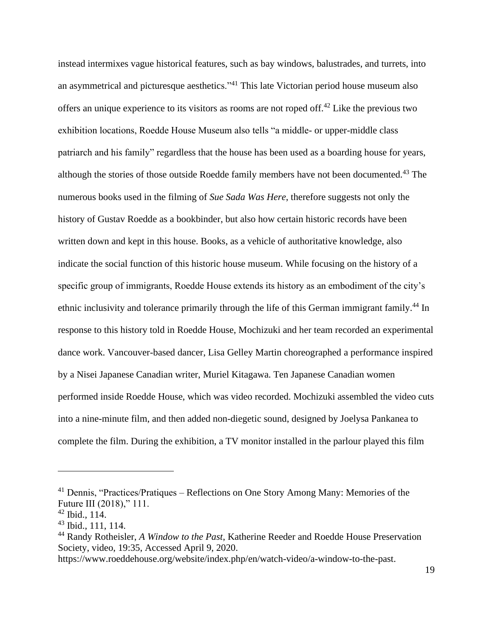instead intermixes vague historical features, such as bay windows, balustrades, and turrets, into an asymmetrical and picturesque aesthetics."<sup>41</sup> This late Victorian period house museum also offers an unique experience to its visitors as rooms are not roped of  $f^{42}$ . Like the previous two exhibition locations, Roedde House Museum also tells "a middle- or upper-middle class patriarch and his family" regardless that the house has been used as a boarding house for years, although the stories of those outside Roedde family members have not been documented.<sup>43</sup> The numerous books used in the filming of *Sue Sada Was Here*, therefore suggests not only the history of Gustav Roedde as a bookbinder, but also how certain historic records have been written down and kept in this house. Books, as a vehicle of authoritative knowledge, also indicate the social function of this historic house museum. While focusing on the history of a specific group of immigrants, Roedde House extends its history as an embodiment of the city's ethnic inclusivity and tolerance primarily through the life of this German immigrant family.<sup>44</sup> In response to this history told in Roedde House, Mochizuki and her team recorded an experimental dance work. Vancouver-based dancer, Lisa Gelley Martin choreographed a performance inspired by a Nisei Japanese Canadian writer, Muriel Kitagawa. Ten Japanese Canadian women performed inside Roedde House, which was video recorded. Mochizuki assembled the video cuts into a nine-minute film, and then added non-diegetic sound, designed by Joelysa Pankanea to complete the film. During the exhibition, a TV monitor installed in the parlour played this film

<sup>41</sup> Dennis, "Practices/Pratiques – Reflections on One Story Among Many: Memories of the Future III (2018)," 111.

 $42$  Ibid.,  $114$ .

 $43$  Ibid., 111, 114.

<sup>44</sup> Randy Rotheisler, *A Window to the Past*, Katherine Reeder and Roedde House Preservation Society, video, 19:35, Accessed April 9, 2020.

https://www.roeddehouse.org/website/index.php/en/watch-video/a-window-to-the-past.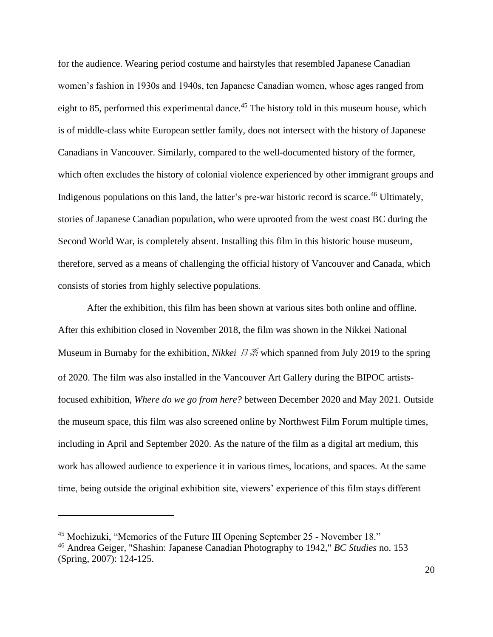for the audience. Wearing period costume and hairstyles that resembled Japanese Canadian women's fashion in 1930s and 1940s, ten Japanese Canadian women, whose ages ranged from eight to 85, performed this experimental dance.<sup>45</sup> The history told in this museum house, which is of middle-class white European settler family, does not intersect with the history of Japanese Canadians in Vancouver. Similarly, compared to the well-documented history of the former, which often excludes the history of colonial violence experienced by other immigrant groups and Indigenous populations on this land, the latter's pre-war historic record is scarce.<sup>46</sup> Ultimately, stories of Japanese Canadian population, who were uprooted from the west coast BC during the Second World War, is completely absent. Installing this film in this historic house museum, therefore, served as a means of challenging the official history of Vancouver and Canada, which consists of stories from highly selective populations.

After the exhibition, this film has been shown at various sites both online and offline. After this exhibition closed in November 2018, the film was shown in the Nikkei National Museum in Burnaby for the exhibition, *Nikkei 日系* which spanned from July 2019 to the spring of 2020. The film was also installed in the Vancouver Art Gallery during the BIPOC artistsfocused exhibition, *Where do we go from here?* between December 2020 and May 2021. Outside the museum space, this film was also screened online by Northwest Film Forum multiple times, including in April and September 2020. As the nature of the film as a digital art medium, this work has allowed audience to experience it in various times, locations, and spaces. At the same time, being outside the original exhibition site, viewers' experience of this film stays different

<sup>45</sup> Mochizuki, "Memories of the Future III Opening September 25 - November 18."

<sup>46</sup> Andrea Geiger, "Shashin: Japanese Canadian Photography to 1942," *BC Studies* no. 153 (Spring, 2007): 124-125.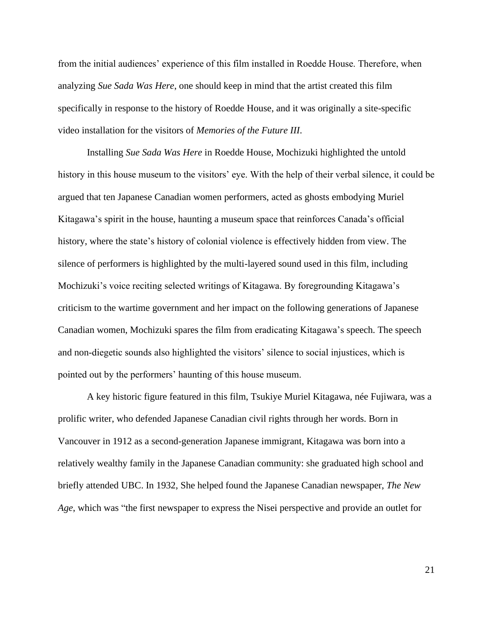from the initial audiences' experience of this film installed in Roedde House. Therefore, when analyzing *Sue Sada Was Here*, one should keep in mind that the artist created this film specifically in response to the history of Roedde House, and it was originally a site-specific video installation for the visitors of *Memories of the Future III*.

Installing *Sue Sada Was Here* in Roedde House, Mochizuki highlighted the untold history in this house museum to the visitors' eye. With the help of their verbal silence, it could be argued that ten Japanese Canadian women performers, acted as ghosts embodying Muriel Kitagawa's spirit in the house, haunting a museum space that reinforces Canada's official history, where the state's history of colonial violence is effectively hidden from view. The silence of performers is highlighted by the multi-layered sound used in this film, including Mochizuki's voice reciting selected writings of Kitagawa. By foregrounding Kitagawa's criticism to the wartime government and her impact on the following generations of Japanese Canadian women, Mochizuki spares the film from eradicating Kitagawa's speech. The speech and non-diegetic sounds also highlighted the visitors' silence to social injustices, which is pointed out by the performers' haunting of this house museum.

A key historic figure featured in this film, Tsukiye Muriel Kitagawa, née Fujiwara, was a prolific writer, who defended Japanese Canadian civil rights through her words. Born in Vancouver in 1912 as a second-generation Japanese immigrant, Kitagawa was born into a relatively wealthy family in the Japanese Canadian community: she graduated high school and briefly attended UBC. In 1932, She helped found the Japanese Canadian newspaper, *The New Age*, which was "the first newspaper to express the Nisei perspective and provide an outlet for

21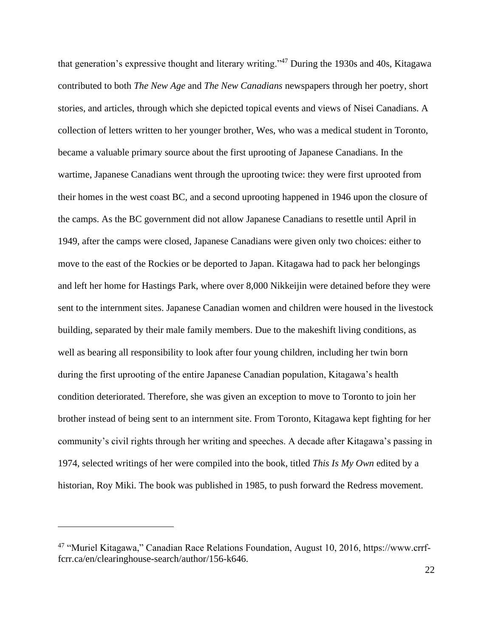that generation's expressive thought and literary writing."<sup>47</sup> During the 1930s and 40s, Kitagawa contributed to both *The New Age* and *The New Canadians* newspapers through her poetry, short stories, and articles, through which she depicted topical events and views of Nisei Canadians. A collection of letters written to her younger brother, Wes, who was a medical student in Toronto, became a valuable primary source about the first uprooting of Japanese Canadians. In the wartime, Japanese Canadians went through the uprooting twice: they were first uprooted from their homes in the west coast BC, and a second uprooting happened in 1946 upon the closure of the camps. As the BC government did not allow Japanese Canadians to resettle until April in 1949, after the camps were closed, Japanese Canadians were given only two choices: either to move to the east of the Rockies or be deported to Japan. Kitagawa had to pack her belongings and left her home for Hastings Park, where over 8,000 Nikkeijin were detained before they were sent to the internment sites. Japanese Canadian women and children were housed in the livestock building, separated by their male family members. Due to the makeshift living conditions, as well as bearing all responsibility to look after four young children, including her twin born during the first uprooting of the entire Japanese Canadian population, Kitagawa's health condition deteriorated. Therefore, she was given an exception to move to Toronto to join her brother instead of being sent to an internment site. From Toronto, Kitagawa kept fighting for her community's civil rights through her writing and speeches. A decade after Kitagawa's passing in 1974, selected writings of her were compiled into the book, titled *This Is My Own* edited by a historian, Roy Miki. The book was published in 1985, to push forward the Redress movement.

<sup>47</sup> "Muriel Kitagawa," Canadian Race Relations Foundation, August 10, 2016, https://www.crrffcrr.ca/en/clearinghouse-search/author/156-k646.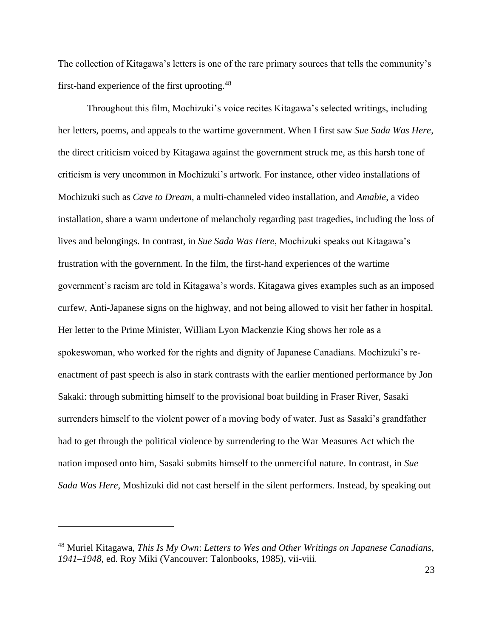The collection of Kitagawa's letters is one of the rare primary sources that tells the community's first-hand experience of the first uprooting.<sup>48</sup>

Throughout this film, Mochizuki's voice recites Kitagawa's selected writings, including her letters, poems, and appeals to the wartime government. When I first saw *Sue Sada Was Here*, the direct criticism voiced by Kitagawa against the government struck me, as this harsh tone of criticism is very uncommon in Mochizuki's artwork. For instance, other video installations of Mochizuki such as *Cave to Dream*, a multi-channeled video installation, and *Amabie*, a video installation, share a warm undertone of melancholy regarding past tragedies, including the loss of lives and belongings. In contrast, in *Sue Sada Was Here*, Mochizuki speaks out Kitagawa's frustration with the government. In the film, the first-hand experiences of the wartime government's racism are told in Kitagawa's words. Kitagawa gives examples such as an imposed curfew, Anti-Japanese signs on the highway, and not being allowed to visit her father in hospital. Her letter to the Prime Minister, William Lyon Mackenzie King shows her role as a spokeswoman, who worked for the rights and dignity of Japanese Canadians. Mochizuki's reenactment of past speech is also in stark contrasts with the earlier mentioned performance by Jon Sakaki: through submitting himself to the provisional boat building in Fraser River, Sasaki surrenders himself to the violent power of a moving body of water. Just as Sasaki's grandfather had to get through the political violence by surrendering to the War Measures Act which the nation imposed onto him, Sasaki submits himself to the unmerciful nature. In contrast, in *Sue Sada Was Here*, Moshizuki did not cast herself in the silent performers. Instead, by speaking out

<sup>48</sup> Muriel Kitagawa, *This Is My Own*: *Letters to Wes and Other Writings on Japanese Canadians, 1941–1948*, ed. Roy Miki (Vancouver: Talonbooks, 1985), vii-viii.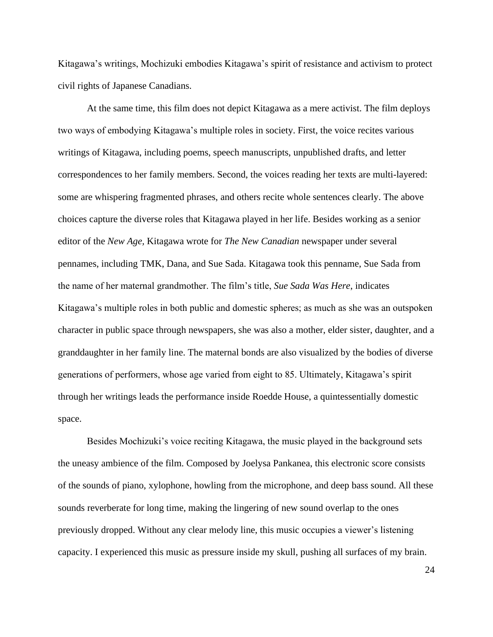Kitagawa's writings, Mochizuki embodies Kitagawa's spirit of resistance and activism to protect civil rights of Japanese Canadians.

At the same time, this film does not depict Kitagawa as a mere activist. The film deploys two ways of embodying Kitagawa's multiple roles in society. First, the voice recites various writings of Kitagawa, including poems, speech manuscripts, unpublished drafts, and letter correspondences to her family members. Second, the voices reading her texts are multi-layered: some are whispering fragmented phrases, and others recite whole sentences clearly. The above choices capture the diverse roles that Kitagawa played in her life. Besides working as a senior editor of the *New Age,* Kitagawa wrote for *The New Canadian* newspaper under several pennames, including TMK, Dana, and Sue Sada. Kitagawa took this penname, Sue Sada from the name of her maternal grandmother. The film's title, *Sue Sada Was Here*, indicates Kitagawa's multiple roles in both public and domestic spheres; as much as she was an outspoken character in public space through newspapers, she was also a mother, elder sister, daughter, and a granddaughter in her family line. The maternal bonds are also visualized by the bodies of diverse generations of performers, whose age varied from eight to 85. Ultimately, Kitagawa's spirit through her writings leads the performance inside Roedde House, a quintessentially domestic space.

Besides Mochizuki's voice reciting Kitagawa, the music played in the background sets the uneasy ambience of the film. Composed by Joelysa Pankanea, this electronic score consists of the sounds of piano, xylophone, howling from the microphone, and deep bass sound. All these sounds reverberate for long time, making the lingering of new sound overlap to the ones previously dropped. Without any clear melody line, this music occupies a viewer's listening capacity. I experienced this music as pressure inside my skull, pushing all surfaces of my brain.

24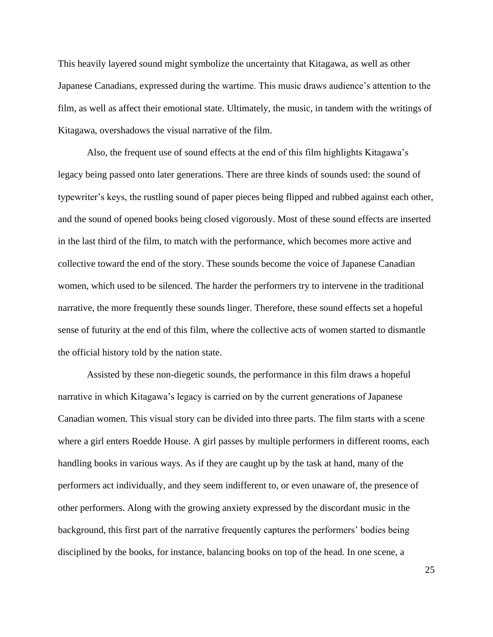This heavily layered sound might symbolize the uncertainty that Kitagawa, as well as other Japanese Canadians, expressed during the wartime. This music draws audience's attention to the film, as well as affect their emotional state. Ultimately, the music, in tandem with the writings of Kitagawa, overshadows the visual narrative of the film.

Also, the frequent use of sound effects at the end of this film highlights Kitagawa's legacy being passed onto later generations. There are three kinds of sounds used: the sound of typewriter's keys, the rustling sound of paper pieces being flipped and rubbed against each other, and the sound of opened books being closed vigorously. Most of these sound effects are inserted in the last third of the film, to match with the performance, which becomes more active and collective toward the end of the story. These sounds become the voice of Japanese Canadian women, which used to be silenced. The harder the performers try to intervene in the traditional narrative, the more frequently these sounds linger. Therefore, these sound effects set a hopeful sense of futurity at the end of this film, where the collective acts of women started to dismantle the official history told by the nation state.

Assisted by these non-diegetic sounds, the performance in this film draws a hopeful narrative in which Kitagawa's legacy is carried on by the current generations of Japanese Canadian women. This visual story can be divided into three parts. The film starts with a scene where a girl enters Roedde House. A girl passes by multiple performers in different rooms, each handling books in various ways. As if they are caught up by the task at hand, many of the performers act individually, and they seem indifferent to, or even unaware of, the presence of other performers. Along with the growing anxiety expressed by the discordant music in the background, this first part of the narrative frequently captures the performers' bodies being disciplined by the books, for instance, balancing books on top of the head. In one scene, a

25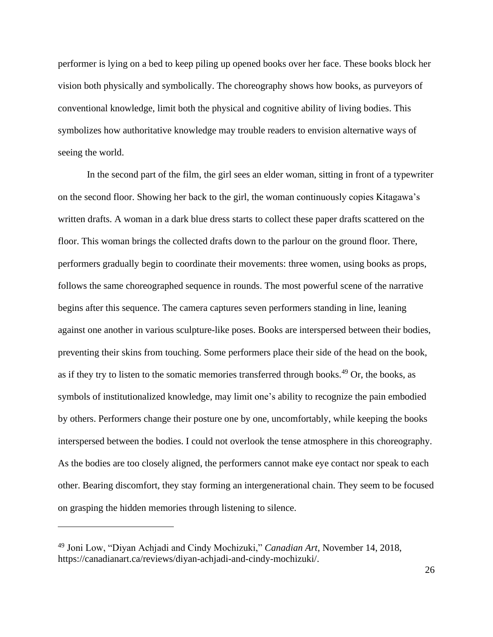performer is lying on a bed to keep piling up opened books over her face. These books block her vision both physically and symbolically. The choreography shows how books, as purveyors of conventional knowledge, limit both the physical and cognitive ability of living bodies. This symbolizes how authoritative knowledge may trouble readers to envision alternative ways of seeing the world.

In the second part of the film, the girl sees an elder woman, sitting in front of a typewriter on the second floor. Showing her back to the girl, the woman continuously copies Kitagawa's written drafts. A woman in a dark blue dress starts to collect these paper drafts scattered on the floor. This woman brings the collected drafts down to the parlour on the ground floor. There, performers gradually begin to coordinate their movements: three women, using books as props, follows the same choreographed sequence in rounds. The most powerful scene of the narrative begins after this sequence. The camera captures seven performers standing in line, leaning against one another in various sculpture-like poses. Books are interspersed between their bodies, preventing their skins from touching. Some performers place their side of the head on the book, as if they try to listen to the somatic memories transferred through books.<sup>49</sup> Or, the books, as symbols of institutionalized knowledge, may limit one's ability to recognize the pain embodied by others. Performers change their posture one by one, uncomfortably, while keeping the books interspersed between the bodies. I could not overlook the tense atmosphere in this choreography. As the bodies are too closely aligned, the performers cannot make eye contact nor speak to each other. Bearing discomfort, they stay forming an intergenerational chain. They seem to be focused on grasping the hidden memories through listening to silence.

<sup>49</sup> Joni Low, "Diyan Achjadi and Cindy Mochizuki," *Canadian Art*, November 14, 2018, https://canadianart.ca/reviews/diyan-achjadi-and-cindy-mochizuki/.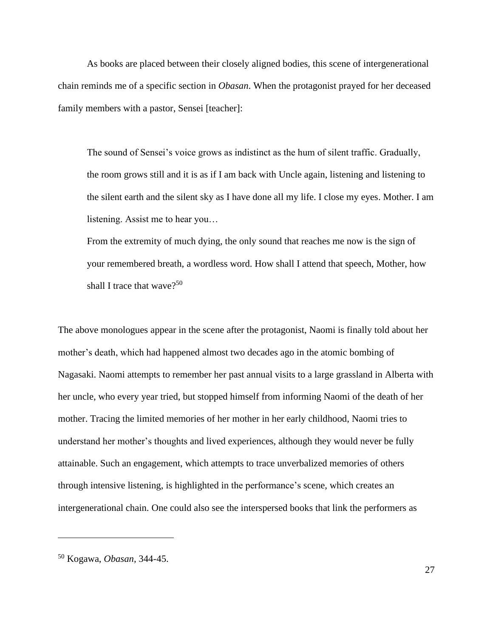As books are placed between their closely aligned bodies, this scene of intergenerational chain reminds me of a specific section in *Obasan*. When the protagonist prayed for her deceased family members with a pastor, Sensei [teacher]:

The sound of Sensei's voice grows as indistinct as the hum of silent traffic. Gradually, the room grows still and it is as if I am back with Uncle again, listening and listening to the silent earth and the silent sky as I have done all my life. I close my eyes. Mother. I am listening. Assist me to hear you…

From the extremity of much dying, the only sound that reaches me now is the sign of your remembered breath, a wordless word. How shall I attend that speech, Mother, how shall I trace that wave?<sup>50</sup>

The above monologues appear in the scene after the protagonist, Naomi is finally told about her mother's death, which had happened almost two decades ago in the atomic bombing of Nagasaki. Naomi attempts to remember her past annual visits to a large grassland in Alberta with her uncle, who every year tried, but stopped himself from informing Naomi of the death of her mother. Tracing the limited memories of her mother in her early childhood, Naomi tries to understand her mother's thoughts and lived experiences, although they would never be fully attainable. Such an engagement, which attempts to trace unverbalized memories of others through intensive listening, is highlighted in the performance's scene, which creates an intergenerational chain. One could also see the interspersed books that link the performers as

<sup>50</sup> Kogawa, *Obasan*, 344-45.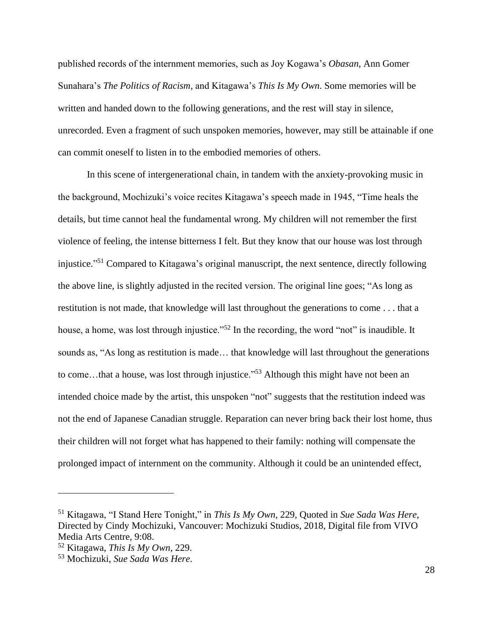published records of the internment memories, such as Joy Kogawa's *Obasan*, Ann Gomer Sunahara's *The Politics of Racism,* and Kitagawa's *This Is My Own*. Some memories will be written and handed down to the following generations, and the rest will stay in silence, unrecorded. Even a fragment of such unspoken memories, however, may still be attainable if one can commit oneself to listen in to the embodied memories of others.

In this scene of intergenerational chain, in tandem with the anxiety-provoking music in the background, Mochizuki's voice recites Kitagawa's speech made in 1945, "Time heals the details, but time cannot heal the fundamental wrong. My children will not remember the first violence of feeling, the intense bitterness I felt. But they know that our house was lost through injustice." <sup>51</sup> Compared to Kitagawa's original manuscript, the next sentence, directly following the above line, is slightly adjusted in the recited version. The original line goes; "As long as restitution is not made, that knowledge will last throughout the generations to come . . . that a house, a home, was lost through injustice."<sup>52</sup> In the recording, the word "not" is inaudible. It sounds as, "As long as restitution is made… that knowledge will last throughout the generations to come...that a house, was lost through injustice."<sup>53</sup> Although this might have not been an intended choice made by the artist, this unspoken "not" suggests that the restitution indeed was not the end of Japanese Canadian struggle. Reparation can never bring back their lost home, thus their children will not forget what has happened to their family: nothing will compensate the prolonged impact of internment on the community. Although it could be an unintended effect,

<sup>51</sup> Kitagawa, "I Stand Here Tonight," in *This Is My Own*, 229, Quoted in *Sue Sada Was Here*, Directed by Cindy Mochizuki, Vancouver: Mochizuki Studios, 2018, Digital file from VIVO Media Arts Centre, 9:08.

<sup>52</sup> Kitagawa, *This Is My Own*, 229.

<sup>53</sup> Mochizuki, *Sue Sada Was Here*.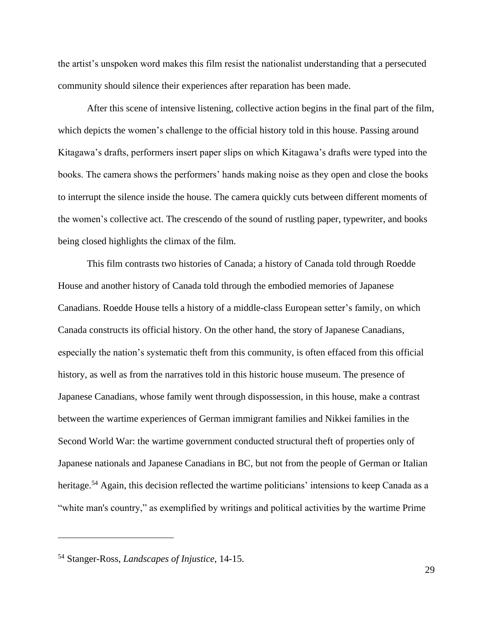the artist's unspoken word makes this film resist the nationalist understanding that a persecuted community should silence their experiences after reparation has been made.

After this scene of intensive listening, collective action begins in the final part of the film, which depicts the women's challenge to the official history told in this house. Passing around Kitagawa's drafts, performers insert paper slips on which Kitagawa's drafts were typed into the books. The camera shows the performers' hands making noise as they open and close the books to interrupt the silence inside the house. The camera quickly cuts between different moments of the women's collective act. The crescendo of the sound of rustling paper, typewriter, and books being closed highlights the climax of the film.

This film contrasts two histories of Canada; a history of Canada told through Roedde House and another history of Canada told through the embodied memories of Japanese Canadians. Roedde House tells a history of a middle-class European setter's family, on which Canada constructs its official history. On the other hand, the story of Japanese Canadians, especially the nation's systematic theft from this community, is often effaced from this official history, as well as from the narratives told in this historic house museum. The presence of Japanese Canadians, whose family went through dispossession, in this house, make a contrast between the wartime experiences of German immigrant families and Nikkei families in the Second World War: the wartime government conducted structural theft of properties only of Japanese nationals and Japanese Canadians in BC, but not from the people of German or Italian heritage.<sup>54</sup> Again, this decision reflected the wartime politicians' intensions to keep Canada as a "white man's country," as exemplified by writings and political activities by the wartime Prime

<sup>54</sup> Stanger-Ross, *Landscapes of Injustice*, 14-15.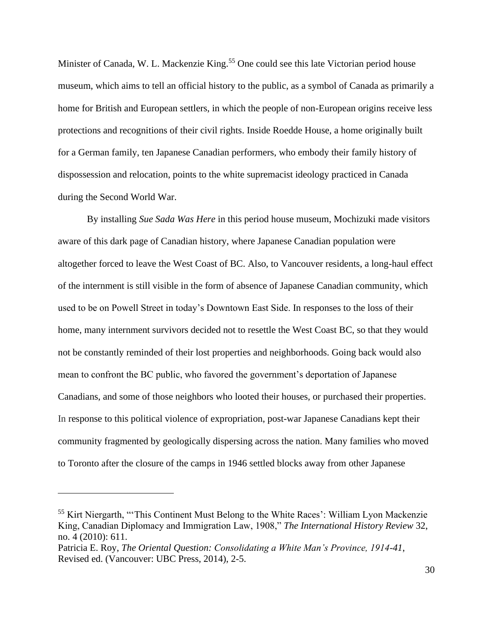Minister of Canada, W. L. Mackenzie King.<sup>55</sup> One could see this late Victorian period house museum, which aims to tell an official history to the public, as a symbol of Canada as primarily a home for British and European settlers, in which the people of non-European origins receive less protections and recognitions of their civil rights. Inside Roedde House, a home originally built for a German family, ten Japanese Canadian performers, who embody their family history of dispossession and relocation, points to the white supremacist ideology practiced in Canada during the Second World War.

By installing *Sue Sada Was Here* in this period house museum, Mochizuki made visitors aware of this dark page of Canadian history, where Japanese Canadian population were altogether forced to leave the West Coast of BC. Also, to Vancouver residents, a long-haul effect of the internment is still visible in the form of absence of Japanese Canadian community, which used to be on Powell Street in today's Downtown East Side. In responses to the loss of their home, many internment survivors decided not to resettle the West Coast BC, so that they would not be constantly reminded of their lost properties and neighborhoods. Going back would also mean to confront the BC public, who favored the government's deportation of Japanese Canadians, and some of those neighbors who looted their houses, or purchased their properties. In response to this political violence of expropriation, post-war Japanese Canadians kept their community fragmented by geologically dispersing across the nation. Many families who moved to Toronto after the closure of the camps in 1946 settled blocks away from other Japanese

<sup>55</sup> Kirt Niergarth, "'This Continent Must Belong to the White Races': William Lyon Mackenzie King, Canadian Diplomacy and Immigration Law, 1908," *The International History Review* 32, no. 4 (2010): 611.

Patricia E. Roy, *The Oriental Question: Consolidating a White Man's Province, 1914-41*, Revised ed. (Vancouver: UBC Press, 2014), 2-5.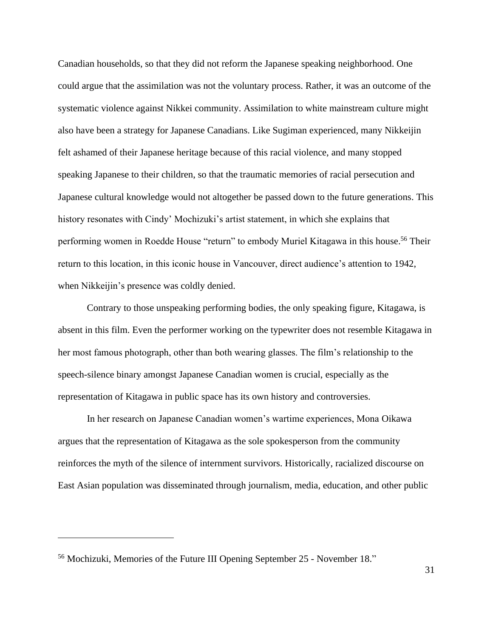Canadian households, so that they did not reform the Japanese speaking neighborhood. One could argue that the assimilation was not the voluntary process. Rather, it was an outcome of the systematic violence against Nikkei community. Assimilation to white mainstream culture might also have been a strategy for Japanese Canadians. Like Sugiman experienced, many Nikkeijin felt ashamed of their Japanese heritage because of this racial violence, and many stopped speaking Japanese to their children, so that the traumatic memories of racial persecution and Japanese cultural knowledge would not altogether be passed down to the future generations. This history resonates with Cindy' Mochizuki's artist statement, in which she explains that performing women in Roedde House "return" to embody Muriel Kitagawa in this house. <sup>56</sup> Their return to this location, in this iconic house in Vancouver, direct audience's attention to 1942, when Nikkeijin's presence was coldly denied.

Contrary to those unspeaking performing bodies, the only speaking figure, Kitagawa, is absent in this film. Even the performer working on the typewriter does not resemble Kitagawa in her most famous photograph, other than both wearing glasses. The film's relationship to the speech-silence binary amongst Japanese Canadian women is crucial, especially as the representation of Kitagawa in public space has its own history and controversies.

In her research on Japanese Canadian women's wartime experiences, Mona Oikawa argues that the representation of Kitagawa as the sole spokesperson from the community reinforces the myth of the silence of internment survivors. Historically, racialized discourse on East Asian population was disseminated through journalism, media, education, and other public

<sup>56</sup> Mochizuki, Memories of the Future III Opening September 25 - November 18."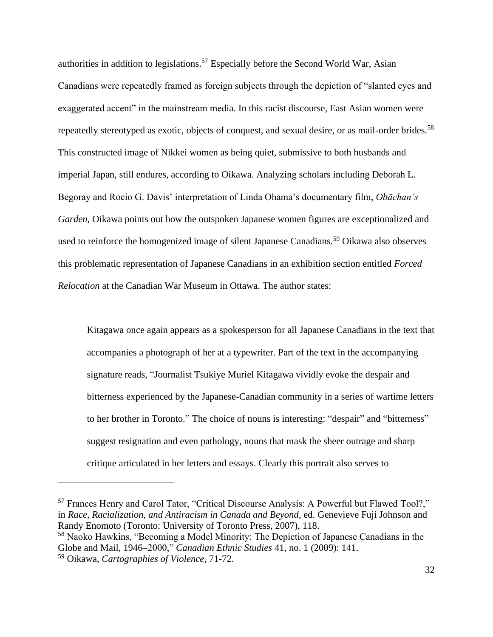authorities in addition to legislations.<sup>57</sup> Especially before the Second World War, Asian Canadians were repeatedly framed as foreign subjects through the depiction of "slanted eyes and exaggerated accent" in the mainstream media. In this racist discourse, East Asian women were repeatedly stereotyped as exotic, objects of conquest, and sexual desire, or as mail-order brides.<sup>58</sup> This constructed image of Nikkei women as being quiet, submissive to both husbands and imperial Japan, still endures, according to Oikawa. Analyzing scholars including Deborah L. Begoray and Rocio G. Davis' interpretation of Linda Ohama's documentary film, *Obāchan's Garden*, Oikawa points out how the outspoken Japanese women figures are exceptionalized and used to reinforce the homogenized image of silent Japanese Canadians.<sup>59</sup> Oikawa also observes this problematic representation of Japanese Canadians in an exhibition section entitled *Forced Relocation* at the Canadian War Museum in Ottawa. The author states:

Kitagawa once again appears as a spokesperson for all Japanese Canadians in the text that accompanies a photograph of her at a typewriter. Part of the text in the accompanying signature reads, "Journalist Tsukiye Muriel Kitagawa vividly evoke the despair and bitterness experienced by the Japanese-Canadian community in a series of wartime letters to her brother in Toronto." The choice of nouns is interesting: "despair" and "bitterness" suggest resignation and even pathology, nouns that mask the sheer outrage and sharp critique articulated in her letters and essays. Clearly this portrait also serves to

<sup>57</sup> Frances Henry and Carol Tator, "Critical Discourse Analysis: A Powerful but Flawed Tool?," in *Race, Racialization, and Antiracism in Canada and Beyond*, ed. Genevieve Fuji Johnson and Randy Enomoto (Toronto: University of Toronto Press, 2007), 118.

<sup>58</sup> Naoko Hawkins, "Becoming a Model Minority: The Depiction of Japanese Canadians in the Globe and Mail, 1946–2000," *Canadian Ethnic Studies* 41, no. 1 (2009): 141.

<sup>59</sup> Oikawa, *Cartographies of Violence*, 71-72.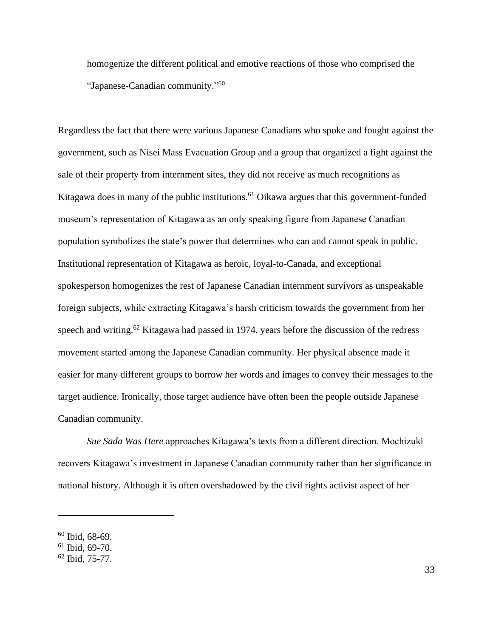homogenize the different political and emotive reactions of those who comprised the "Japanese-Canadian community." 60

Regardless the fact that there were various Japanese Canadians who spoke and fought against the government, such as Nisei Mass Evacuation Group and a group that organized a fight against the sale of their property from internment sites, they did not receive as much recognitions as Kitagawa does in many of the public institutions.<sup>61</sup> Oikawa argues that this government-funded museum's representation of Kitagawa as an only speaking figure from Japanese Canadian population symbolizes the state's power that determines who can and cannot speak in public. Institutional representation of Kitagawa as heroic, loyal-to-Canada, and exceptional spokesperson homogenizes the rest of Japanese Canadian internment survivors as unspeakable foreign subjects, while extracting Kitagawa's harsh criticism towards the government from her speech and writing.<sup>62</sup> Kitagawa had passed in 1974, years before the discussion of the redress movement started among the Japanese Canadian community. Her physical absence made it easier for many different groups to borrow her words and images to convey their messages to the target audience. Ironically, those target audience have often been the people outside Japanese Canadian community.

*Sue Sada Was Here* approaches Kitagawa's texts from a different direction. Mochizuki recovers Kitagawa's investment in Japanese Canadian community rather than her significance in national history. Although it is often overshadowed by the civil rights activist aspect of her

<sup>60</sup> Ibid, 68-69.

<sup>61</sup> Ibid, 69-70.

<sup>62</sup> Ibid, 75-77.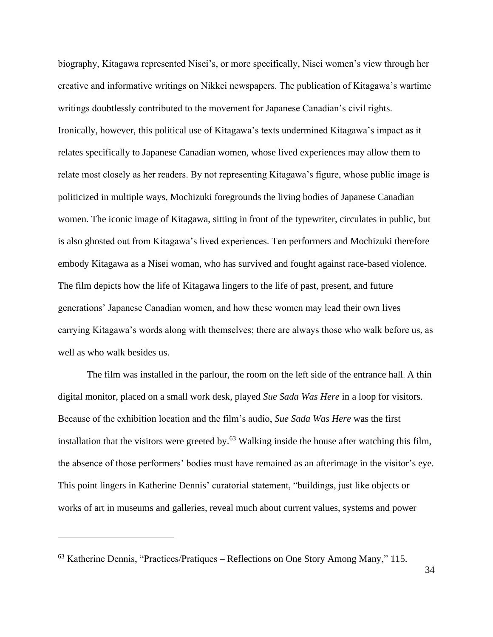biography, Kitagawa represented Nisei's, or more specifically, Nisei women's view through her creative and informative writings on Nikkei newspapers. The publication of Kitagawa's wartime writings doubtlessly contributed to the movement for Japanese Canadian's civil rights. Ironically, however, this political use of Kitagawa's texts undermined Kitagawa's impact as it relates specifically to Japanese Canadian women, whose lived experiences may allow them to relate most closely as her readers. By not representing Kitagawa's figure, whose public image is politicized in multiple ways, Mochizuki foregrounds the living bodies of Japanese Canadian women. The iconic image of Kitagawa, sitting in front of the typewriter, circulates in public, but is also ghosted out from Kitagawa's lived experiences. Ten performers and Mochizuki therefore embody Kitagawa as a Nisei woman, who has survived and fought against race-based violence. The film depicts how the life of Kitagawa lingers to the life of past, present, and future generations' Japanese Canadian women, and how these women may lead their own lives carrying Kitagawa's words along with themselves; there are always those who walk before us, as well as who walk besides us.

The film was installed in the parlour, the room on the left side of the entrance hall. A thin digital monitor, placed on a small work desk, played *Sue Sada Was Here* in a loop for visitors. Because of the exhibition location and the film's audio, *Sue Sada Was Here* was the first installation that the visitors were greeted by.<sup>63</sup> Walking inside the house after watching this film, the absence of those performers' bodies must have remained as an afterimage in the visitor's eye. This point lingers in Katherine Dennis' curatorial statement, "buildings, just like objects or works of art in museums and galleries, reveal much about current values, systems and power

<sup>63</sup> Katherine Dennis, "Practices/Pratiques – Reflections on One Story Among Many," 115.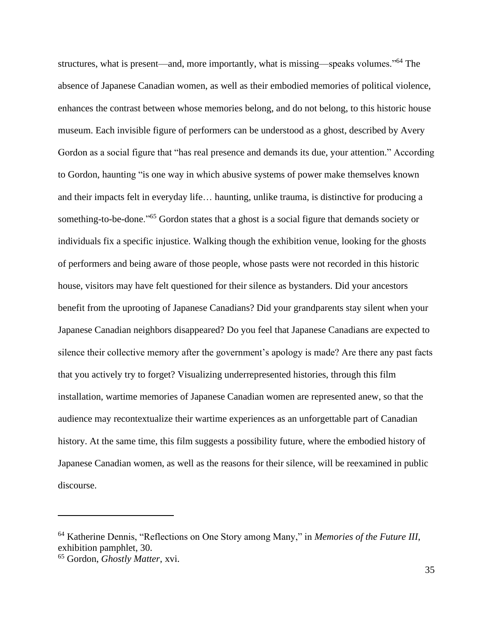structures, what is present—and, more importantly, what is missing—speaks volumes."<sup>64</sup> The absence of Japanese Canadian women, as well as their embodied memories of political violence, enhances the contrast between whose memories belong, and do not belong, to this historic house museum. Each invisible figure of performers can be understood as a ghost, described by Avery Gordon as a social figure that "has real presence and demands its due, your attention." According to Gordon, haunting "is one way in which abusive systems of power make themselves known and their impacts felt in everyday life… haunting, unlike trauma, is distinctive for producing a something-to-be-done."<sup>65</sup> Gordon states that a ghost is a social figure that demands society or individuals fix a specific injustice. Walking though the exhibition venue, looking for the ghosts of performers and being aware of those people, whose pasts were not recorded in this historic house, visitors may have felt questioned for their silence as bystanders. Did your ancestors benefit from the uprooting of Japanese Canadians? Did your grandparents stay silent when your Japanese Canadian neighbors disappeared? Do you feel that Japanese Canadians are expected to silence their collective memory after the government's apology is made? Are there any past facts that you actively try to forget? Visualizing underrepresented histories, through this film installation, wartime memories of Japanese Canadian women are represented anew, so that the audience may recontextualize their wartime experiences as an unforgettable part of Canadian history. At the same time, this film suggests a possibility future, where the embodied history of Japanese Canadian women, as well as the reasons for their silence, will be reexamined in public discourse.

<sup>64</sup> Katherine Dennis, "Reflections on One Story among Many," in *Memories of the Future III*, exhibition pamphlet, 30.

<sup>65</sup> Gordon, *Ghostly Matter*, xvi.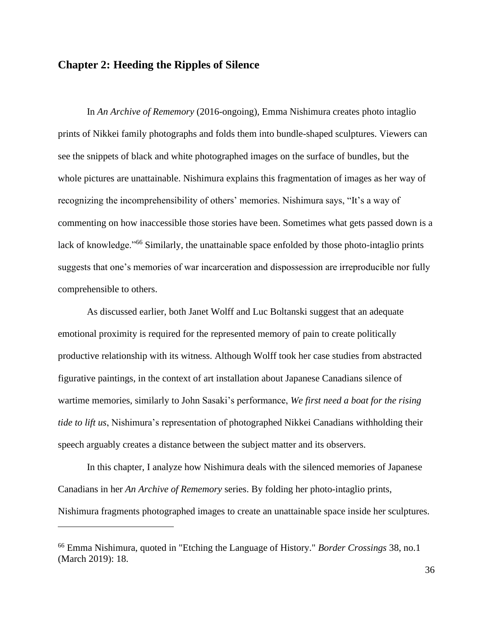### **Chapter 2: Heeding the Ripples of Silence**

In *An Archive of Rememory* (2016-ongoing), Emma Nishimura creates photo intaglio prints of Nikkei family photographs and folds them into bundle-shaped sculptures. Viewers can see the snippets of black and white photographed images on the surface of bundles, but the whole pictures are unattainable. Nishimura explains this fragmentation of images as her way of recognizing the incomprehensibility of others' memories. Nishimura says, "It's a way of commenting on how inaccessible those stories have been. Sometimes what gets passed down is a lack of knowledge."<sup>66</sup> Similarly, the unattainable space enfolded by those photo-intaglio prints suggests that one's memories of war incarceration and dispossession are irreproducible nor fully comprehensible to others.

As discussed earlier, both Janet Wolff and Luc Boltanski suggest that an adequate emotional proximity is required for the represented memory of pain to create politically productive relationship with its witness. Although Wolff took her case studies from abstracted figurative paintings, in the context of art installation about Japanese Canadians silence of wartime memories, similarly to John Sasaki's performance, *We first need a boat for the rising tide to lift us*, Nishimura's representation of photographed Nikkei Canadians withholding their speech arguably creates a distance between the subject matter and its observers.

In this chapter, I analyze how Nishimura deals with the silenced memories of Japanese Canadians in her *An Archive of Rememory* series. By folding her photo-intaglio prints, Nishimura fragments photographed images to create an unattainable space inside her sculptures.

<sup>66</sup> Emma Nishimura, quoted in "Etching the Language of History." *Border Crossings* 38, no.1 (March 2019): 18.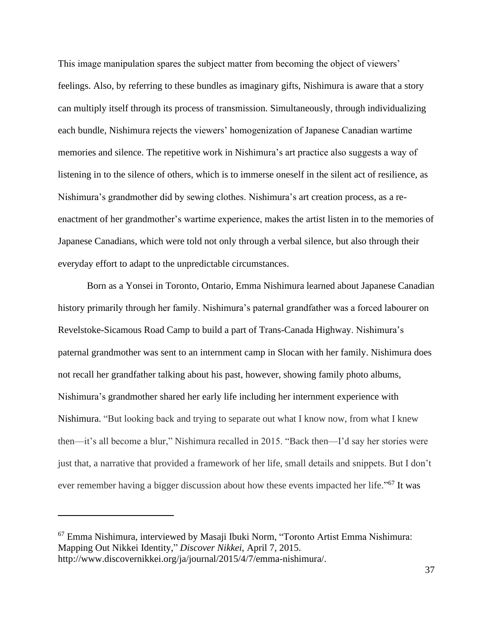This image manipulation spares the subject matter from becoming the object of viewers' feelings. Also, by referring to these bundles as imaginary gifts, Nishimura is aware that a story can multiply itself through its process of transmission. Simultaneously, through individualizing each bundle, Nishimura rejects the viewers' homogenization of Japanese Canadian wartime memories and silence. The repetitive work in Nishimura's art practice also suggests a way of listening in to the silence of others, which is to immerse oneself in the silent act of resilience, as Nishimura's grandmother did by sewing clothes. Nishimura's art creation process, as a reenactment of her grandmother's wartime experience, makes the artist listen in to the memories of Japanese Canadians, which were told not only through a verbal silence, but also through their everyday effort to adapt to the unpredictable circumstances.

Born as a Yonsei in Toronto, Ontario, Emma Nishimura learned about Japanese Canadian history primarily through her family. Nishimura's paternal grandfather was a forced labourer on Revelstoke-Sicamous Road Camp to build a part of Trans-Canada Highway. Nishimura's paternal grandmother was sent to an internment camp in Slocan with her family. Nishimura does not recall her grandfather talking about his past, however, showing family photo albums, Nishimura's grandmother shared her early life including her internment experience with Nishimura. "But looking back and trying to separate out what I know now, from what I knew then—it's all become a blur," Nishimura recalled in 2015. "Back then—I'd say her stories were just that, a narrative that provided a framework of her life, small details and snippets. But I don't ever remember having a bigger discussion about how these events impacted her life."<sup>67</sup> It was

<sup>67</sup> Emma Nishimura, interviewed by Masaji Ibuki Norm, "Toronto Artist Emma Nishimura: Mapping Out Nikkei Identity," *Discover Nikkei*, April 7, 2015. http://www.discovernikkei.org/ja/journal/2015/4/7/emma-nishimura/.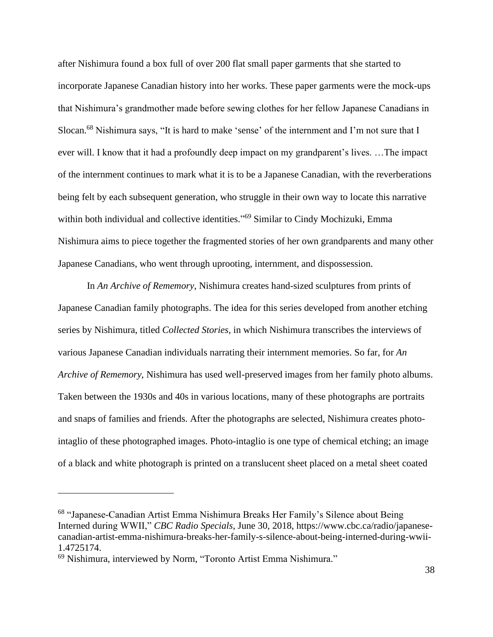after Nishimura found a box full of over 200 flat small paper garments that she started to incorporate Japanese Canadian history into her works. These paper garments were the mock-ups that Nishimura's grandmother made before sewing clothes for her fellow Japanese Canadians in Slocan.<sup>68</sup> Nishimura says, "It is hard to make 'sense' of the internment and I'm not sure that I ever will. I know that it had a profoundly deep impact on my grandparent's lives. …The impact of the internment continues to mark what it is to be a Japanese Canadian, with the reverberations being felt by each subsequent generation, who struggle in their own way to locate this narrative within both individual and collective identities."<sup>69</sup> Similar to Cindy Mochizuki, Emma Nishimura aims to piece together the fragmented stories of her own grandparents and many other Japanese Canadians, who went through uprooting, internment, and dispossession.

In *An Archive of Rememory*, Nishimura creates hand-sized sculptures from prints of Japanese Canadian family photographs. The idea for this series developed from another etching series by Nishimura, titled *Collected Stories*, in which Nishimura transcribes the interviews of various Japanese Canadian individuals narrating their internment memories. So far, for *An Archive of Rememory*, Nishimura has used well-preserved images from her family photo albums. Taken between the 1930s and 40s in various locations, many of these photographs are portraits and snaps of families and friends. After the photographs are selected, Nishimura creates photointaglio of these photographed images. Photo-intaglio is one type of chemical etching; an image of a black and white photograph is printed on a translucent sheet placed on a metal sheet coated

<sup>68</sup> "Japanese-Canadian Artist Emma Nishimura Breaks Her Family's Silence about Being Interned during WWII," *CBC Radio Specials*, June 30, 2018, https://www.cbc.ca/radio/japanesecanadian-artist-emma-nishimura-breaks-her-family-s-silence-about-being-interned-during-wwii-1.4725174.

<sup>69</sup> Nishimura, interviewed by Norm, "Toronto Artist Emma Nishimura."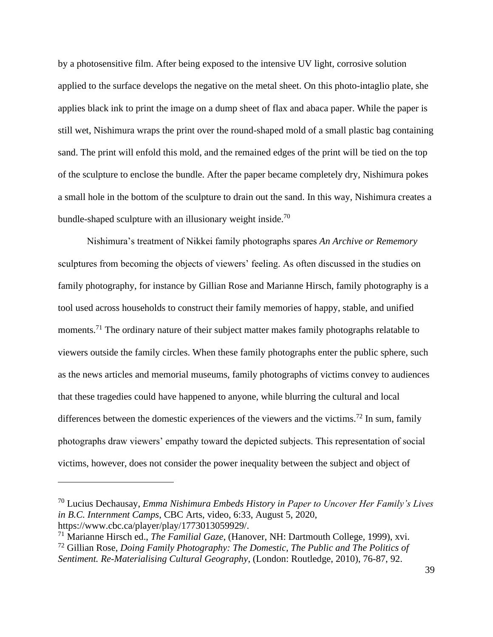by a photosensitive film. After being exposed to the intensive UV light, corrosive solution applied to the surface develops the negative on the metal sheet. On this photo-intaglio plate, she applies black ink to print the image on a dump sheet of flax and abaca paper. While the paper is still wet, Nishimura wraps the print over the round-shaped mold of a small plastic bag containing sand. The print will enfold this mold, and the remained edges of the print will be tied on the top of the sculpture to enclose the bundle. After the paper became completely dry, Nishimura pokes a small hole in the bottom of the sculpture to drain out the sand. In this way, Nishimura creates a bundle-shaped sculpture with an illusionary weight inside.<sup>70</sup>

Nishimura's treatment of Nikkei family photographs spares *An Archive or Rememory* sculptures from becoming the objects of viewers' feeling. As often discussed in the studies on family photography, for instance by Gillian Rose and Marianne Hirsch, family photography is a tool used across households to construct their family memories of happy, stable, and unified moments.<sup>71</sup> The ordinary nature of their subject matter makes family photographs relatable to viewers outside the family circles. When these family photographs enter the public sphere, such as the news articles and memorial museums, family photographs of victims convey to audiences that these tragedies could have happened to anyone, while blurring the cultural and local differences between the domestic experiences of the viewers and the victims.<sup>72</sup> In sum, family photographs draw viewers' empathy toward the depicted subjects. This representation of social victims, however, does not consider the power inequality between the subject and object of

<sup>70</sup> Lucius Dechausay, *Emma Nishimura Embeds History in Paper to Uncover Her Family's Lives in B.C. Internment Camps*, CBC Arts, video, 6:33, August 5, 2020, https://www.cbc.ca/player/play/1773013059929/.

<sup>71</sup> Marianne Hirsch ed., *The Familial Gaze*, (Hanover, NH: Dartmouth College, 1999), xvi.

<sup>72</sup> Gillian Rose, *Doing Family Photography: The Domestic, The Public and The Politics of Sentiment. Re-Materialising Cultural Geography*, (London: Routledge, 2010), 76-87, 92.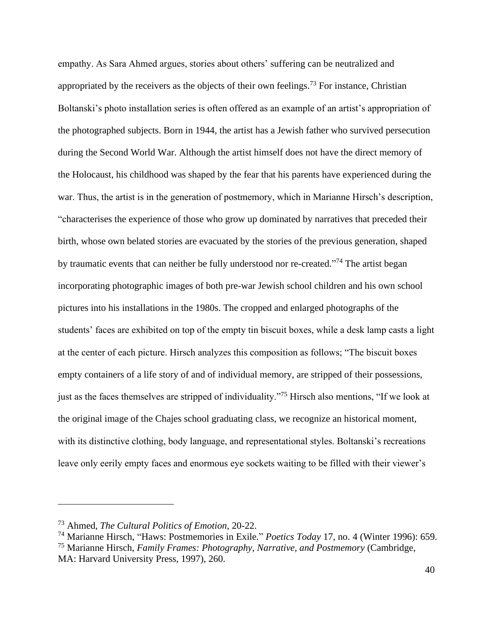empathy. As Sara Ahmed argues, stories about others' suffering can be neutralized and appropriated by the receivers as the objects of their own feelings.<sup>73</sup> For instance, Christian Boltanski's photo installation series is often offered as an example of an artist's appropriation of the photographed subjects. Born in 1944, the artist has a Jewish father who survived persecution during the Second World War. Although the artist himself does not have the direct memory of the Holocaust, his childhood was shaped by the fear that his parents have experienced during the war. Thus, the artist is in the generation of postmemory, which in Marianne Hirsch's description, "characterises the experience of those who grow up dominated by narratives that preceded their birth, whose own belated stories are evacuated by the stories of the previous generation, shaped by traumatic events that can neither be fully understood nor re-created."<sup>74</sup> The artist began incorporating photographic images of both pre-war Jewish school children and his own school pictures into his installations in the 1980s. The cropped and enlarged photographs of the students' faces are exhibited on top of the empty tin biscuit boxes, while a desk lamp casts a light at the center of each picture. Hirsch analyzes this composition as follows; "The biscuit boxes empty containers of a life story of and of individual memory, are stripped of their possessions, just as the faces themselves are stripped of individuality."<sup>75</sup> Hirsch also mentions, "If we look at the original image of the Chajes school graduating class, we recognize an historical moment, with its distinctive clothing, body language, and representational styles. Boltanski's recreations leave only eerily empty faces and enormous eye sockets waiting to be filled with their viewer's

<sup>73</sup> Ahmed, *The Cultural Politics of Emotion*, 20-22.

<sup>74</sup> Marianne Hirsch, "Haws: Postmemories in Exile*.*" *Poetics Today* 17, no. 4 (Winter 1996): 659.

<sup>75</sup> Marianne Hirsch, *Family Frames: Photography, Narrative, and Postmemory* (Cambridge,

MA: Harvard University Press, 1997), 260.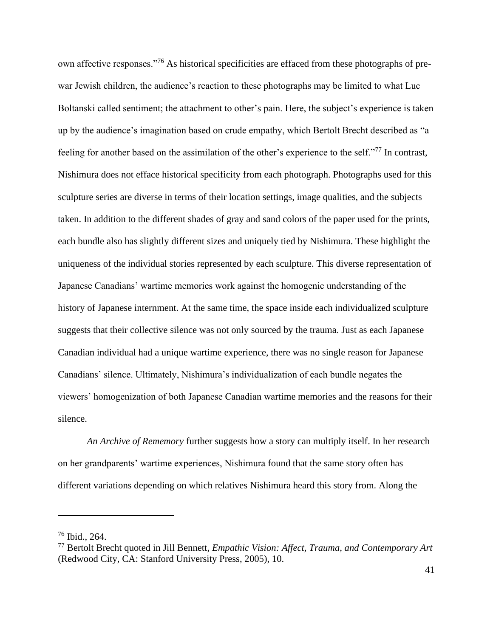own affective responses."<sup>76</sup> As historical specificities are effaced from these photographs of prewar Jewish children, the audience's reaction to these photographs may be limited to what Luc Boltanski called sentiment; the attachment to other's pain. Here, the subject's experience is taken up by the audience's imagination based on crude empathy, which Bertolt Brecht described as "a feeling for another based on the assimilation of the other's experience to the self."<sup>77</sup> In contrast, Nishimura does not efface historical specificity from each photograph. Photographs used for this sculpture series are diverse in terms of their location settings, image qualities, and the subjects taken. In addition to the different shades of gray and sand colors of the paper used for the prints, each bundle also has slightly different sizes and uniquely tied by Nishimura. These highlight the uniqueness of the individual stories represented by each sculpture. This diverse representation of Japanese Canadians' wartime memories work against the homogenic understanding of the history of Japanese internment. At the same time, the space inside each individualized sculpture suggests that their collective silence was not only sourced by the trauma. Just as each Japanese Canadian individual had a unique wartime experience, there was no single reason for Japanese Canadians' silence. Ultimately, Nishimura's individualization of each bundle negates the viewers' homogenization of both Japanese Canadian wartime memories and the reasons for their silence.

*An Archive of Rememory* further suggests how a story can multiply itself. In her research on her grandparents' wartime experiences, Nishimura found that the same story often has different variations depending on which relatives Nishimura heard this story from. Along the

<sup>76</sup> Ibid., 264.

<sup>77</sup> Bertolt Brecht quoted in Jill Bennett, *Empathic Vision: Affect, Trauma, and Contemporary Art*  (Redwood City, CA: Stanford University Press, 2005), 10.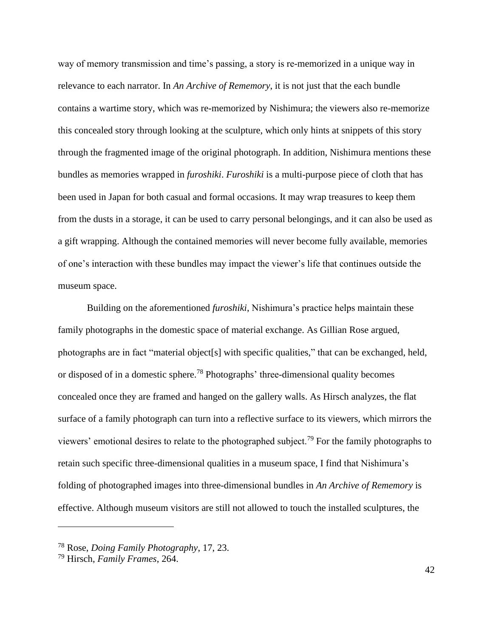way of memory transmission and time's passing, a story is re-memorized in a unique way in relevance to each narrator. In *An Archive of Rememory*, it is not just that the each bundle contains a wartime story, which was re-memorized by Nishimura; the viewers also re-memorize this concealed story through looking at the sculpture, which only hints at snippets of this story through the fragmented image of the original photograph. In addition, Nishimura mentions these bundles as memories wrapped in *furoshiki*. *Furoshiki* is a multi-purpose piece of cloth that has been used in Japan for both casual and formal occasions. It may wrap treasures to keep them from the dusts in a storage, it can be used to carry personal belongings, and it can also be used as a gift wrapping. Although the contained memories will never become fully available, memories of one's interaction with these bundles may impact the viewer's life that continues outside the museum space.

Building on the aforementioned *furoshiki*, Nishimura's practice helps maintain these family photographs in the domestic space of material exchange. As Gillian Rose argued, photographs are in fact "material object[s] with specific qualities," that can be exchanged, held, or disposed of in a domestic sphere.<sup>78</sup> Photographs' three-dimensional quality becomes concealed once they are framed and hanged on the gallery walls. As Hirsch analyzes, the flat surface of a family photograph can turn into a reflective surface to its viewers, which mirrors the viewers' emotional desires to relate to the photographed subject.<sup>79</sup> For the family photographs to retain such specific three-dimensional qualities in a museum space, I find that Nishimura's folding of photographed images into three-dimensional bundles in *An Archive of Rememory* is effective. Although museum visitors are still not allowed to touch the installed sculptures, the

<sup>78</sup> Rose, *Doing Family Photography*, 17, 23.

<sup>79</sup> Hirsch, *Family Frames*, 264.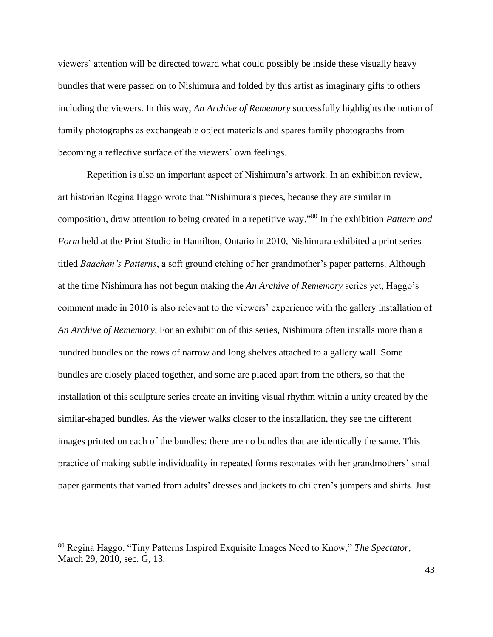viewers' attention will be directed toward what could possibly be inside these visually heavy bundles that were passed on to Nishimura and folded by this artist as imaginary gifts to others including the viewers. In this way, *An Archive of Rememory* successfully highlights the notion of family photographs as exchangeable object materials and spares family photographs from becoming a reflective surface of the viewers' own feelings.

Repetition is also an important aspect of Nishimura's artwork. In an exhibition review, art historian Regina Haggo wrote that "Nishimura's pieces, because they are similar in composition, draw attention to being created in a repetitive way."<sup>80</sup> In the exhibition *Pattern and Form* held at the Print Studio in Hamilton, Ontario in 2010, Nishimura exhibited a print series titled *Baachan's Patterns*, a soft ground etching of her grandmother's paper patterns. Although at the time Nishimura has not begun making the *An Archive of Rememory* series yet, Haggo's comment made in 2010 is also relevant to the viewers' experience with the gallery installation of *An Archive of Rememory*. For an exhibition of this series, Nishimura often installs more than a hundred bundles on the rows of narrow and long shelves attached to a gallery wall. Some bundles are closely placed together, and some are placed apart from the others, so that the installation of this sculpture series create an inviting visual rhythm within a unity created by the similar-shaped bundles. As the viewer walks closer to the installation, they see the different images printed on each of the bundles: there are no bundles that are identically the same. This practice of making subtle individuality in repeated forms resonates with her grandmothers' small paper garments that varied from adults' dresses and jackets to children's jumpers and shirts. Just

<sup>80</sup> Regina Haggo, "Tiny Patterns Inspired Exquisite Images Need to Know," *The Spectator*, March 29, 2010, sec. G, 13.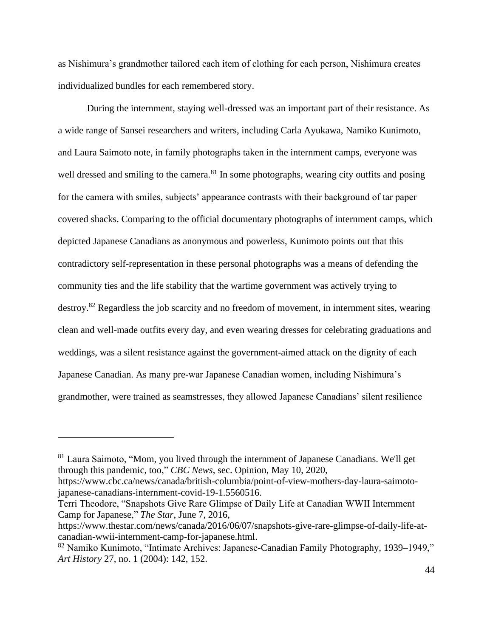as Nishimura's grandmother tailored each item of clothing for each person, Nishimura creates individualized bundles for each remembered story.

During the internment, staying well-dressed was an important part of their resistance. As a wide range of Sansei researchers and writers, including Carla Ayukawa, Namiko Kunimoto, and Laura Saimoto note, in family photographs taken in the internment camps, everyone was well dressed and smiling to the camera.<sup>81</sup> In some photographs, wearing city outfits and posing for the camera with smiles, subjects' appearance contrasts with their background of tar paper covered shacks. Comparing to the official documentary photographs of internment camps, which depicted Japanese Canadians as anonymous and powerless, Kunimoto points out that this contradictory self-representation in these personal photographs was a means of defending the community ties and the life stability that the wartime government was actively trying to destroy.<sup>82</sup> Regardless the job scarcity and no freedom of movement, in internment sites, wearing clean and well-made outfits every day, and even wearing dresses for celebrating graduations and weddings, was a silent resistance against the government-aimed attack on the dignity of each Japanese Canadian. As many pre-war Japanese Canadian women, including Nishimura's grandmother, were trained as seamstresses, they allowed Japanese Canadians' silent resilience

<sup>&</sup>lt;sup>81</sup> Laura Saimoto, "Mom, you lived through the internment of Japanese Canadians. We'll get through this pandemic, too," *CBC News*, sec. Opinion, May 10, 2020,

https://www.cbc.ca/news/canada/british-columbia/point-of-view-mothers-day-laura-saimotojapanese-canadians-internment-covid-19-1.5560516.

Terri Theodore, "Snapshots Give Rare Glimpse of Daily Life at Canadian WWII Internment Camp for Japanese," *The Star*, June 7, 2016,

https://www.thestar.com/news/canada/2016/06/07/snapshots-give-rare-glimpse-of-daily-life-atcanadian-wwii-internment-camp-for-japanese.html.

<sup>82</sup> Namiko Kunimoto, "Intimate Archives: Japanese-Canadian Family Photography, 1939–1949," *Art History* 27, no. 1 (2004): 142, 152.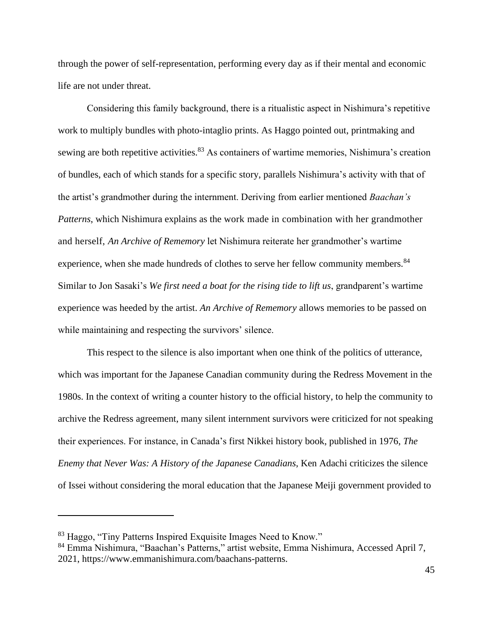through the power of self-representation, performing every day as if their mental and economic life are not under threat.

Considering this family background, there is a ritualistic aspect in Nishimura's repetitive work to multiply bundles with photo-intaglio prints. As Haggo pointed out, printmaking and sewing are both repetitive activities.<sup>83</sup> As containers of wartime memories, Nishimura's creation of bundles, each of which stands for a specific story, parallels Nishimura's activity with that of the artist's grandmother during the internment. Deriving from earlier mentioned *Baachan's Patterns*, which Nishimura explains as the work made in combination with her grandmother and herself, *An Archive of Rememory* let Nishimura reiterate her grandmother's wartime experience, when she made hundreds of clothes to serve her fellow community members.<sup>84</sup> Similar to Jon Sasaki's *We first need a boat for the rising tide to lift us*, grandparent's wartime experience was heeded by the artist. *An Archive of Rememory* allows memories to be passed on while maintaining and respecting the survivors' silence.

This respect to the silence is also important when one think of the politics of utterance, which was important for the Japanese Canadian community during the Redress Movement in the 1980s. In the context of writing a counter history to the official history, to help the community to archive the Redress agreement, many silent internment survivors were criticized for not speaking their experiences. For instance, in Canada's first Nikkei history book, published in 1976, *The Enemy that Never Was: A History of the Japanese Canadians*, Ken Adachi criticizes the silence of Issei without considering the moral education that the Japanese Meiji government provided to

<sup>83</sup> Haggo, "Tiny Patterns Inspired Exquisite Images Need to Know."

<sup>84</sup> Emma Nishimura, "Baachan's Patterns," artist website, Emma Nishimura, Accessed April 7, 2021, https://www.emmanishimura.com/baachans-patterns.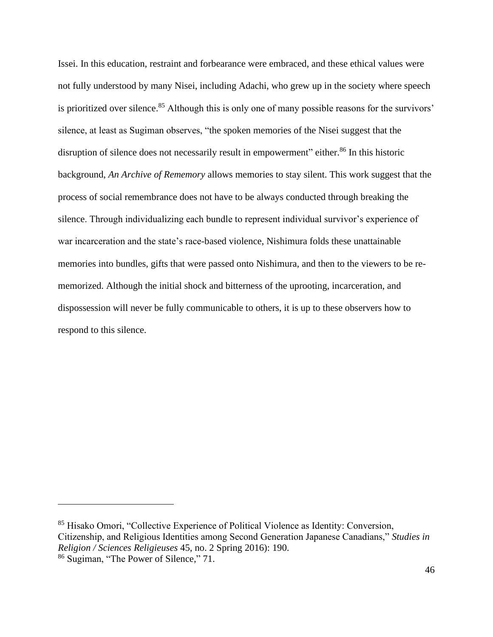Issei. In this education, restraint and forbearance were embraced, and these ethical values were not fully understood by many Nisei, including Adachi, who grew up in the society where speech is prioritized over silence.<sup>85</sup> Although this is only one of many possible reasons for the survivors' silence, at least as Sugiman observes, "the spoken memories of the Nisei suggest that the disruption of silence does not necessarily result in empowerment" either.<sup>86</sup> In this historic background, *An Archive of Rememory* allows memories to stay silent. This work suggest that the process of social remembrance does not have to be always conducted through breaking the silence. Through individualizing each bundle to represent individual survivor's experience of war incarceration and the state's race-based violence, Nishimura folds these unattainable memories into bundles, gifts that were passed onto Nishimura, and then to the viewers to be rememorized. Although the initial shock and bitterness of the uprooting, incarceration, and dispossession will never be fully communicable to others, it is up to these observers how to respond to this silence.

<sup>85</sup> Hisako Omori, "Collective Experience of Political Violence as Identity: Conversion, Citizenship, and Religious Identities among Second Generation Japanese Canadians," *Studies in Religion / Sciences Religieuses* 45, no. 2 Spring 2016): 190.

<sup>86</sup> Sugiman, "The Power of Silence," 71.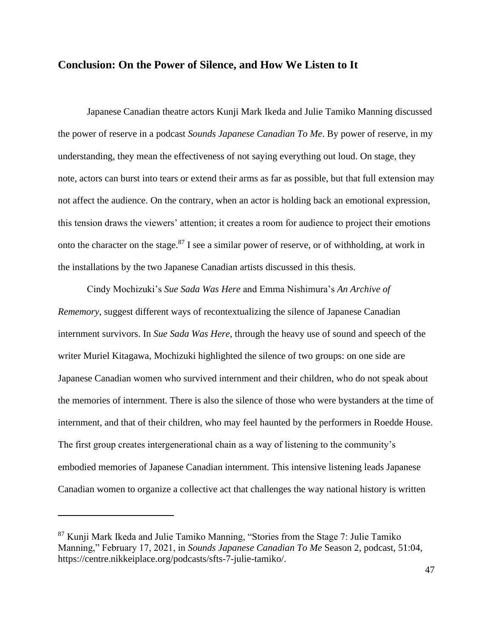#### **Conclusion: On the Power of Silence, and How We Listen to It**

Japanese Canadian theatre actors Kunji Mark Ikeda and Julie Tamiko Manning discussed the power of reserve in a podcast *Sounds Japanese Canadian To Me*. By power of reserve, in my understanding, they mean the effectiveness of not saying everything out loud. On stage, they note, actors can burst into tears or extend their arms as far as possible, but that full extension may not affect the audience. On the contrary, when an actor is holding back an emotional expression, this tension draws the viewers' attention; it creates a room for audience to project their emotions onto the character on the stage.<sup>87</sup> I see a similar power of reserve, or of withholding, at work in the installations by the two Japanese Canadian artists discussed in this thesis.

Cindy Mochizuki's *Sue Sada Was Here* and Emma Nishimura's *An Archive of Rememory*, suggest different ways of recontextualizing the silence of Japanese Canadian internment survivors. In *Sue Sada Was Here*, through the heavy use of sound and speech of the writer Muriel Kitagawa, Mochizuki highlighted the silence of two groups: on one side are Japanese Canadian women who survived internment and their children, who do not speak about the memories of internment. There is also the silence of those who were bystanders at the time of internment, and that of their children, who may feel haunted by the performers in Roedde House. The first group creates intergenerational chain as a way of listening to the community's embodied memories of Japanese Canadian internment. This intensive listening leads Japanese Canadian women to organize a collective act that challenges the way national history is written

<sup>87</sup> Kunji Mark Ikeda and Julie Tamiko Manning, "Stories from the Stage 7: Julie Tamiko Manning," February 17, 2021, in *Sounds Japanese Canadian To Me* Season 2, podcast, 51:04, https://centre.nikkeiplace.org/podcasts/sfts-7-julie-tamiko/.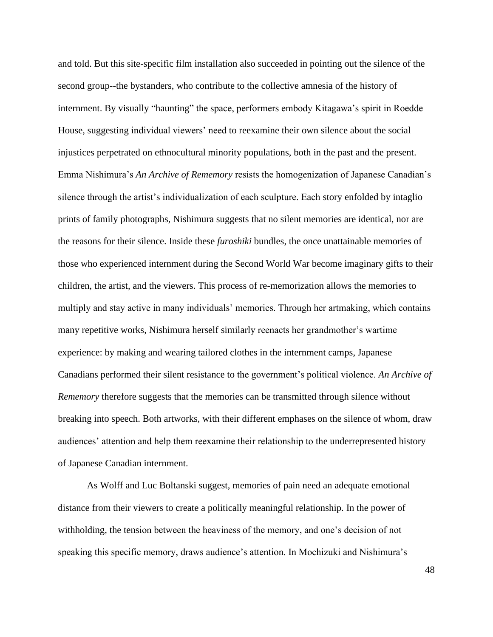and told. But this site-specific film installation also succeeded in pointing out the silence of the second group--the bystanders, who contribute to the collective amnesia of the history of internment. By visually "haunting" the space, performers embody Kitagawa's spirit in Roedde House, suggesting individual viewers' need to reexamine their own silence about the social injustices perpetrated on ethnocultural minority populations, both in the past and the present. Emma Nishimura's *An Archive of Rememory* resists the homogenization of Japanese Canadian's silence through the artist's individualization of each sculpture. Each story enfolded by intaglio prints of family photographs, Nishimura suggests that no silent memories are identical, nor are the reasons for their silence. Inside these *furoshiki* bundles, the once unattainable memories of those who experienced internment during the Second World War become imaginary gifts to their children, the artist, and the viewers. This process of re-memorization allows the memories to multiply and stay active in many individuals' memories. Through her artmaking, which contains many repetitive works, Nishimura herself similarly reenacts her grandmother's wartime experience: by making and wearing tailored clothes in the internment camps, Japanese Canadians performed their silent resistance to the government's political violence. *An Archive of Rememory* therefore suggests that the memories can be transmitted through silence without breaking into speech. Both artworks, with their different emphases on the silence of whom, draw audiences' attention and help them reexamine their relationship to the underrepresented history of Japanese Canadian internment.

As Wolff and Luc Boltanski suggest, memories of pain need an adequate emotional distance from their viewers to create a politically meaningful relationship. In the power of withholding, the tension between the heaviness of the memory, and one's decision of not speaking this specific memory, draws audience's attention. In Mochizuki and Nishimura's

48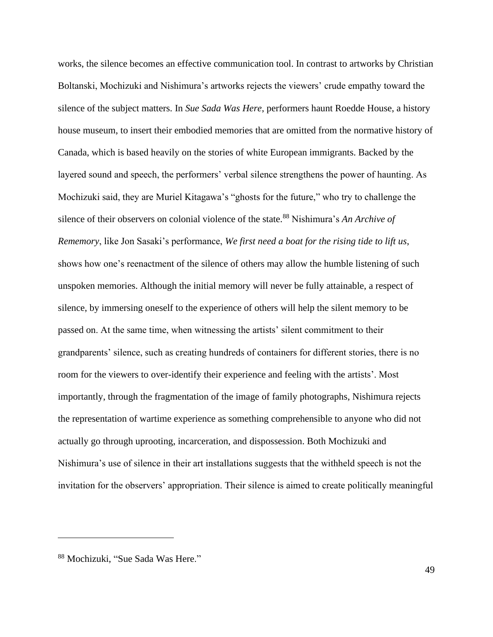works, the silence becomes an effective communication tool. In contrast to artworks by Christian Boltanski, Mochizuki and Nishimura's artworks rejects the viewers' crude empathy toward the silence of the subject matters. In *Sue Sada Was Here*, performers haunt Roedde House, a history house museum, to insert their embodied memories that are omitted from the normative history of Canada, which is based heavily on the stories of white European immigrants. Backed by the layered sound and speech, the performers' verbal silence strengthens the power of haunting. As Mochizuki said, they are Muriel Kitagawa's "ghosts for the future," who try to challenge the silence of their observers on colonial violence of the state.<sup>88</sup> Nishimura's *An Archive of Rememory*, like Jon Sasaki's performance, *We first need a boat for the rising tide to lift us*, shows how one's reenactment of the silence of others may allow the humble listening of such unspoken memories. Although the initial memory will never be fully attainable, a respect of silence, by immersing oneself to the experience of others will help the silent memory to be passed on. At the same time, when witnessing the artists' silent commitment to their grandparents' silence, such as creating hundreds of containers for different stories, there is no room for the viewers to over-identify their experience and feeling with the artists'. Most importantly, through the fragmentation of the image of family photographs, Nishimura rejects the representation of wartime experience as something comprehensible to anyone who did not actually go through uprooting, incarceration, and dispossession. Both Mochizuki and Nishimura's use of silence in their art installations suggests that the withheld speech is not the invitation for the observers' appropriation. Their silence is aimed to create politically meaningful

<sup>88</sup> Mochizuki, "Sue Sada Was Here."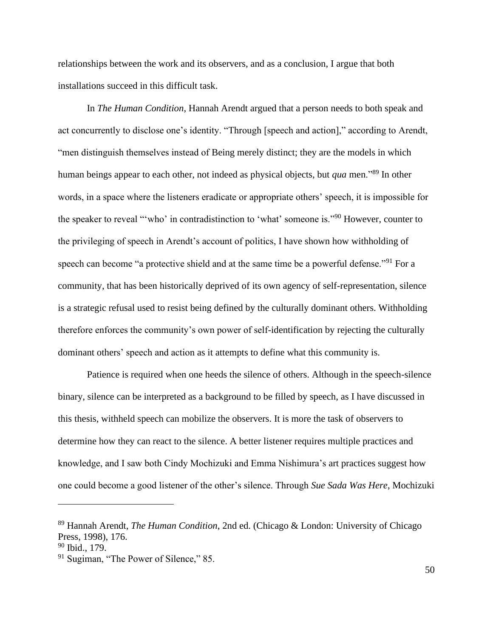relationships between the work and its observers, and as a conclusion, I argue that both installations succeed in this difficult task.

In *The Human Condition*, Hannah Arendt argued that a person needs to both speak and act concurrently to disclose one's identity. "Through [speech and action]," according to Arendt, "men distinguish themselves instead of Being merely distinct; they are the models in which human beings appear to each other, not indeed as physical objects, but *qua* men."<sup>89</sup> In other words, in a space where the listeners eradicate or appropriate others' speech, it is impossible for the speaker to reveal "'who' in contradistinction to 'what' someone is."<sup>90</sup> However, counter to the privileging of speech in Arendt's account of politics, I have shown how withholding of speech can become "a protective shield and at the same time be a powerful defense."<sup>91</sup> For a community, that has been historically deprived of its own agency of self-representation, silence is a strategic refusal used to resist being defined by the culturally dominant others. Withholding therefore enforces the community's own power of self-identification by rejecting the culturally dominant others' speech and action as it attempts to define what this community is.

Patience is required when one heeds the silence of others. Although in the speech-silence binary, silence can be interpreted as a background to be filled by speech, as I have discussed in this thesis, withheld speech can mobilize the observers. It is more the task of observers to determine how they can react to the silence. A better listener requires multiple practices and knowledge, and I saw both Cindy Mochizuki and Emma Nishimura's art practices suggest how one could become a good listener of the other's silence. Through *Sue Sada Was Here*, Mochizuki

<sup>89</sup> Hannah Arendt, *The Human Condition*, 2nd ed. (Chicago & London: University of Chicago Press, 1998), 176.

<sup>&</sup>lt;sup>90</sup> Ibid., 179.

<sup>&</sup>lt;sup>91</sup> Sugiman, "The Power of Silence," 85.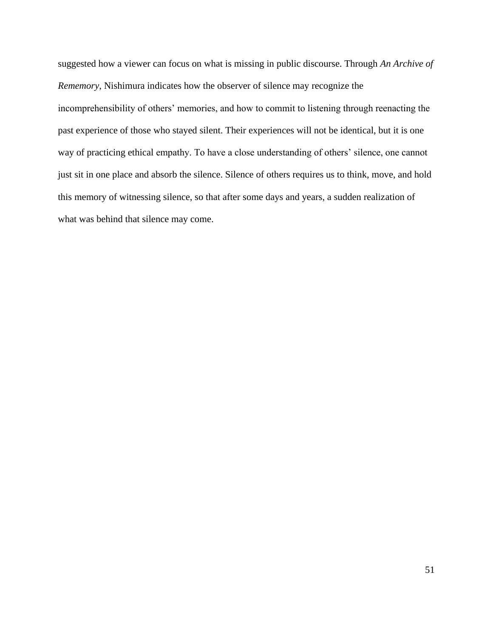suggested how a viewer can focus on what is missing in public discourse. Through *An Archive of Rememory*, Nishimura indicates how the observer of silence may recognize the incomprehensibility of others' memories, and how to commit to listening through reenacting the past experience of those who stayed silent. Their experiences will not be identical, but it is one way of practicing ethical empathy. To have a close understanding of others' silence, one cannot just sit in one place and absorb the silence. Silence of others requires us to think, move, and hold this memory of witnessing silence, so that after some days and years, a sudden realization of what was behind that silence may come.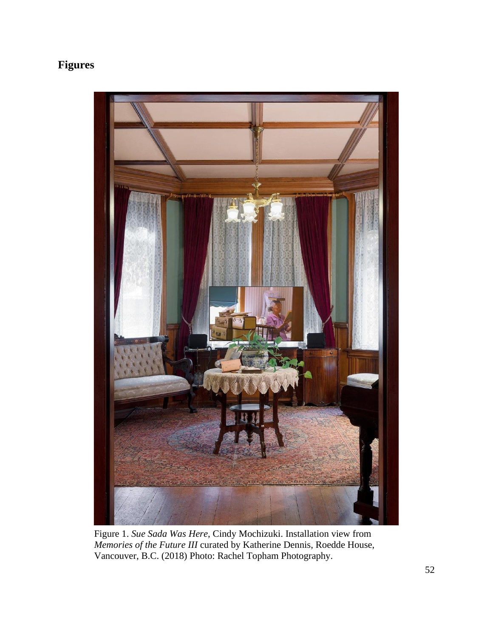## **Figures**



Figure 1. *Sue Sada Was Here*, Cindy Mochizuki. Installation view from *Memories of the Future III* curated by Katherine Dennis, Roedde House, Vancouver, B.C. (2018) Photo: Rachel Topham Photography.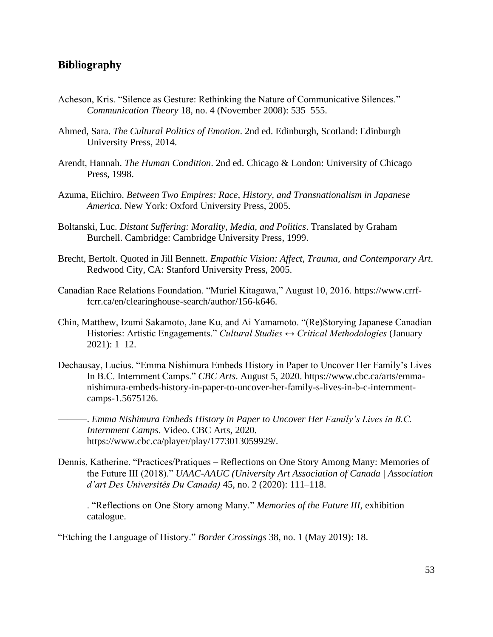### **Bibliography**

- Acheson, Kris. "Silence as Gesture: Rethinking the Nature of Communicative Silences." *Communication Theory* 18, no. 4 (November 2008): 535–555.
- Ahmed, Sara. *The Cultural Politics of Emotion*. 2nd ed. Edinburgh, Scotland: Edinburgh University Press, 2014.
- Arendt, Hannah. *The Human Condition*. 2nd ed. Chicago & London: University of Chicago Press, 1998.
- Azuma, Eiichiro. *Between Two Empires: Race, History, and Transnationalism in Japanese America*. New York: Oxford University Press, 2005.
- Boltanski, Luc. *Distant Suffering: Morality, Media, and Politics*. Translated by Graham Burchell. Cambridge: Cambridge University Press, 1999.
- Brecht, Bertolt. Quoted in Jill Bennett. *Empathic Vision: Affect, Trauma, and Contemporary Art*. Redwood City, CA: Stanford University Press, 2005.
- Canadian Race Relations Foundation. "Muriel Kitagawa," August 10, 2016. https://www.crrffcrr.ca/en/clearinghouse-search/author/156-k646.
- Chin, Matthew, Izumi Sakamoto, Jane Ku, and Ai Yamamoto. "(Re)Storying Japanese Canadian Histories: Artistic Engagements." *Cultural Studies ↔ Critical Methodologies* (January 2021): 1–12.
- Dechausay, Lucius. "Emma Nishimura Embeds History in Paper to Uncover Her Family's Lives In B.C. Internment Camps." *CBC Arts*. August 5, 2020. https://www.cbc.ca/arts/emmanishimura-embeds-history-in-paper-to-uncover-her-family-s-lives-in-b-c-internmentcamps-1.5675126.
- ———. *Emma Nishimura Embeds History in Paper to Uncover Her Family's Lives in B.C. Internment Camps*. Video. CBC Arts, 2020. https://www.cbc.ca/player/play/1773013059929/.
- Dennis, Katherine. "Practices/Pratiques Reflections on One Story Among Many: Memories of the Future III (2018)." *UAAC-AAUC (University Art Association of Canada | Association d'art Des Universités Du Canada)* 45, no. 2 (2020): 111–118.
- ———. "Reflections on One Story among Many." *Memories of the Future III*, exhibition catalogue.

"Etching the Language of History." *Border Crossings* 38, no. 1 (May 2019): 18.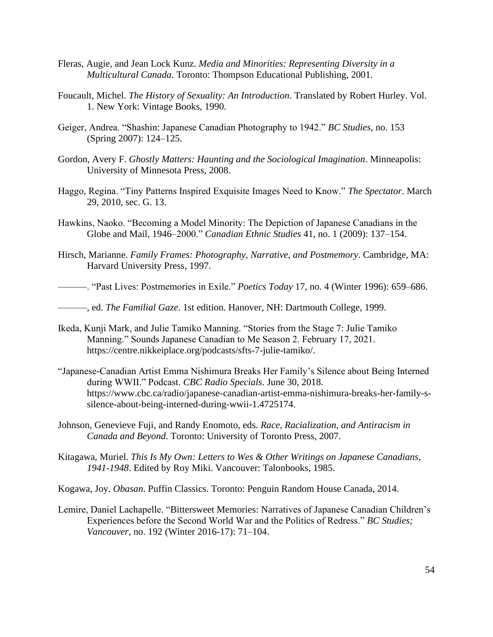- Fleras, Augie, and Jean Lock Kunz. *Media and Minorities: Representing Diversity in a Multicultural Canada*. Toronto: Thompson Educational Publishing, 2001.
- Foucault, Michel. *The History of Sexuality: An Introduction*. Translated by Robert Hurley. Vol. 1. New York: Vintage Books, 1990.
- Geiger, Andrea. "Shashin: Japanese Canadian Photography to 1942." *BC Studies*, no. 153 (Spring 2007): 124–125.
- Gordon, Avery F. *Ghostly Matters: Haunting and the Sociological Imagination*. Minneapolis: University of Minnesota Press, 2008.
- Haggo, Regina. "Tiny Patterns Inspired Exquisite Images Need to Know." *The Spectator*. March 29, 2010, sec. G. 13.
- Hawkins, Naoko. "Becoming a Model Minority: The Depiction of Japanese Canadians in the Globe and Mail, 1946–2000." *Canadian Ethnic Studies* 41, no. 1 (2009): 137–154.
- Hirsch, Marianne. *Family Frames: Photography, Narrative, and Postmemory*. Cambridge, MA: Harvard University Press, 1997.
- ———. "Past Lives: Postmemories in Exile." *Poetics Today* 17, no. 4 (Winter 1996): 659–686.
- ———, ed. *The Familial Gaze*. 1st edition. Hanover, NH: Dartmouth College, 1999.
- Ikeda, Kunji Mark, and Julie Tamiko Manning. "Stories from the Stage 7: Julie Tamiko Manning." Sounds Japanese Canadian to Me Season 2. February 17, 2021. https://centre.nikkeiplace.org/podcasts/sfts-7-julie-tamiko/.
- "Japanese-Canadian Artist Emma Nishimura Breaks Her Family's Silence about Being Interned during WWII." Podcast. *CBC Radio Specials*. June 30, 2018. https://www.cbc.ca/radio/japanese-canadian-artist-emma-nishimura-breaks-her-family-ssilence-about-being-interned-during-wwii-1.4725174.
- Johnson, Genevieve Fuji, and Randy Enomoto, eds. *Race, Racialization, and Antiracism in Canada and Beyond*. Toronto: University of Toronto Press, 2007.
- Kitagawa, Muriel. *This Is My Own: Letters to Wes & Other Writings on Japanese Canadians, 1941-1948*. Edited by Roy Miki. Vancouver: Talonbooks, 1985.

Kogawa, Joy. *Obasan*. Puffin Classics. Toronto: Penguin Random House Canada, 2014.

Lemire, Daniel Lachapelle. "Bittersweet Memories: Narratives of Japanese Canadian Children's Experiences before the Second World War and the Politics of Redress." *BC Studies; Vancouver*, no. 192 (Winter 2016-17): 71–104.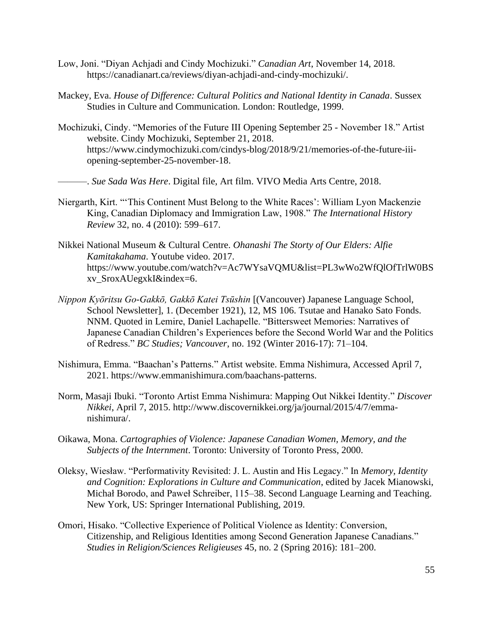- Low, Joni. "Diyan Achjadi and Cindy Mochizuki." *Canadian Art*, November 14, 2018. https://canadianart.ca/reviews/diyan-achjadi-and-cindy-mochizuki/.
- Mackey, Eva. *House of Difference: Cultural Politics and National Identity in Canada*. Sussex Studies in Culture and Communication. London: Routledge, 1999.
- Mochizuki, Cindy. "Memories of the Future III Opening September 25 November 18." Artist website. Cindy Mochizuki, September 21, 2018. https://www.cindymochizuki.com/cindys-blog/2018/9/21/memories-of-the-future-iiiopening-september-25-november-18.
	- ———. *Sue Sada Was Here*. Digital file, Art film. VIVO Media Arts Centre, 2018.
- Niergarth, Kirt. "'This Continent Must Belong to the White Races': William Lyon Mackenzie King, Canadian Diplomacy and Immigration Law, 1908." *The International History Review* 32, no. 4 (2010): 599–617.
- Nikkei National Museum & Cultural Centre. *Ohanashi The Storty of Our Elders: Alfie Kamitakahama*. Youtube video. 2017. https://www.youtube.com/watch?v=Ac7WYsaVQMU&list=PL3wWo2WfQlOfTrlW0BS xv\_SroxAUegxkI&index=6.
- *Nippon Kyōritsu Go-Gakkō, Gakkō Katei Tsūshin* [(Vancouver) Japanese Language School, School Newsletter], 1. (December 1921), 12, MS 106. Tsutae and Hanako Sato Fonds. NNM. Quoted in Lemire, Daniel Lachapelle. "Bittersweet Memories: Narratives of Japanese Canadian Children's Experiences before the Second World War and the Politics of Redress." *BC Studies; Vancouver*, no. 192 (Winter 2016-17): 71–104.
- Nishimura, Emma. "Baachan's Patterns." Artist website. Emma Nishimura, Accessed April 7, 2021. https://www.emmanishimura.com/baachans-patterns.
- Norm, Masaji Ibuki. "Toronto Artist Emma Nishimura: Mapping Out Nikkei Identity." *Discover Nikkei*, April 7, 2015. http://www.discovernikkei.org/ja/journal/2015/4/7/emmanishimura/.
- Oikawa, Mona. *Cartographies of Violence: Japanese Canadian Women, Memory, and the Subjects of the Internment*. Toronto: University of Toronto Press, 2000.
- Oleksy, Wiesław. "Performativity Revisited: J. L. Austin and His Legacy." In *Memory, Identity and Cognition: Explorations in Culture and Communication*, edited by Jacek Mianowski, Michał Borodo, and Paweł Schreiber, 115–38. Second Language Learning and Teaching. New York, US: Springer International Publishing, 2019.
- Omori, Hisako. "Collective Experience of Political Violence as Identity: Conversion, Citizenship, and Religious Identities among Second Generation Japanese Canadians." *Studies in Religion/Sciences Religieuses* 45, no. 2 (Spring 2016): 181–200.